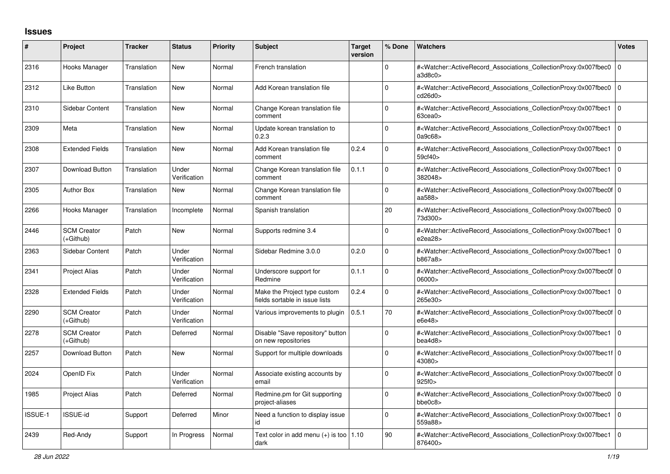## **Issues**

| #              | Project                           | <b>Tracker</b> | <b>Status</b>         | <b>Priority</b> | <b>Subject</b>                                                   | Target<br>version | % Done       | <b>Watchers</b>                                                                                                                                           | <b>Votes</b>   |
|----------------|-----------------------------------|----------------|-----------------------|-----------------|------------------------------------------------------------------|-------------------|--------------|-----------------------------------------------------------------------------------------------------------------------------------------------------------|----------------|
| 2316           | Hooks Manager                     | Translation    | <b>New</b>            | Normal          | French translation                                               |                   | $\Omega$     | # <watcher::activerecord_associations_collectionproxy:0x007fbec0<br>a3d8c0&gt;</watcher::activerecord_associations_collectionproxy:0x007fbec0<br>         | l 0            |
| 2312           | Like Button                       | Translation    | <b>New</b>            | Normal          | Add Korean translation file                                      |                   | $\Omega$     | # <watcher::activerecord associations="" collectionproxy:0x007fbec0<br="">cd26d0&gt;</watcher::activerecord>                                              | l O            |
| 2310           | <b>Sidebar Content</b>            | Translation    | <b>New</b>            | Normal          | Change Korean translation file<br>comment                        |                   | 0            | # <watcher::activerecord_associations_collectionproxy:0x007fbec1<br>63cea0&gt;</watcher::activerecord_associations_collectionproxy:0x007fbec1<br>         | l O            |
| 2309           | Meta                              | Translation    | <b>New</b>            | Normal          | Update korean translation to<br>0.2.3                            |                   | $\Omega$     | # <watcher::activerecord_associations_collectionproxy:0x007fbec1<br>0a9c68</watcher::activerecord_associations_collectionproxy:0x007fbec1<br>             | l O            |
| 2308           | <b>Extended Fields</b>            | Translation    | <b>New</b>            | Normal          | Add Korean translation file<br>comment                           | 0.2.4             | 0            | # <watcher::activerecord associations="" collectionproxy:0x007fbec1<br="">59cf40&gt;</watcher::activerecord>                                              | l O            |
| 2307           | Download Button                   | Translation    | Under<br>Verification | Normal          | Change Korean translation file<br>comment                        | 0.1.1             | $\Omega$     | # <watcher::activerecord associations="" collectionproxy:0x007fbec1<br="">382048&gt;</watcher::activerecord>                                              | $\overline{0}$ |
| 2305           | <b>Author Box</b>                 | Translation    | <b>New</b>            | Normal          | Change Korean translation file<br>comment                        |                   | 0            | # <watcher::activerecord_associations_collectionproxy:0x007fbec0f 0<br=""  ="">aa588&gt;</watcher::activerecord_associations_collectionproxy:0x007fbec0f> |                |
| 2266           | Hooks Manager                     | Translation    | Incomplete            | Normal          | Spanish translation                                              |                   | 20           | # <watcher::activerecord_associations_collectionproxy:0x007fbec0 0<br=""  ="">73d300&gt;</watcher::activerecord_associations_collectionproxy:0x007fbec0>  |                |
| 2446           | <b>SCM Creator</b><br>(+Github)   | Patch          | <b>New</b>            | Normal          | Supports redmine 3.4                                             |                   | $\Omega$     | # <watcher::activerecord associations="" collectionproxy:0x007fbec1<br="">e2ea28&gt;</watcher::activerecord>                                              | l 0            |
| 2363           | <b>Sidebar Content</b>            | Patch          | Under<br>Verification | Normal          | Sidebar Redmine 3.0.0                                            | 0.2.0             | $\Omega$     | # <watcher::activerecord_associations_collectionproxy:0x007fbec1<br>b867a8&gt;</watcher::activerecord_associations_collectionproxy:0x007fbec1<br>         | l O            |
| 2341           | <b>Project Alias</b>              | Patch          | Under<br>Verification | Normal          | Underscore support for<br>Redmine                                | 0.1.1             | 0            | # <watcher::activerecord 0<br="" associations="" collectionproxy:0x007fbec0f=""  ="">06000&gt;</watcher::activerecord>                                    |                |
| 2328           | <b>Extended Fields</b>            | Patch          | Under<br>Verification | Normal          | Make the Project type custom<br>fields sortable in issue lists   | 0.2.4             | $\Omega$     | # <watcher::activerecord associations="" collectionproxy:0x007fbec1<br="">265e30&gt;</watcher::activerecord>                                              | l O            |
| 2290           | <b>SCM Creator</b><br>$(+Github)$ | Patch          | Under<br>Verification | Normal          | Various improvements to plugin                                   | 0.5.1             | 70           | # <watcher::activerecord_associations_collectionproxy:0x007fbec0f 0<br=""  ="">e6e48&gt;</watcher::activerecord_associations_collectionproxy:0x007fbec0f> |                |
| 2278           | <b>SCM Creator</b><br>$(+Github)$ | Patch          | Deferred              | Normal          | Disable "Save repository" button<br>on new repositories          |                   | $\mathbf{0}$ | # <watcher::activerecord associations="" collectionproxy:0x007fbec1<br="">bea4d8</watcher::activerecord>                                                  | l O            |
| 2257           | Download Button                   | Patch          | <b>New</b>            | Normal          | Support for multiple downloads                                   |                   | $\mathbf 0$  | # <watcher::activerecord 0<br="" associations="" collectionproxy:0x007fbec1f=""  ="">43080&gt;</watcher::activerecord>                                    |                |
| 2024           | OpenID Fix                        | Patch          | Under<br>Verification | Normal          | Associate existing accounts by<br>email                          |                   | $\Omega$     | # <watcher::activerecord_associations_collectionproxy:0x007fbec0f 0<br=""  ="">925f0&gt;</watcher::activerecord_associations_collectionproxy:0x007fbec0f> |                |
| 1985           | <b>Project Alias</b>              | Patch          | Deferred              | Normal          | Redmine.pm for Git supporting<br>project-aliases                 |                   | O            | # <watcher::activerecord associations="" collectionproxy:0x007fbec0<br="">bbe0c8</watcher::activerecord>                                                  | ۱٥             |
| <b>ISSUE-1</b> | <b>ISSUE-id</b>                   | Support        | Deferred              | Minor           | Need a function to display issue<br>id                           |                   | $\Omega$     | # <watcher::activerecord associations="" collectionproxy:0x007fbec1<br="">559a88&gt;</watcher::activerecord>                                              | $\overline{0}$ |
| 2439           | Red-Andy                          | Support        | In Progress           | Normal          | Text color in add menu $(+)$ is too $\vert 1.10 \rangle$<br>dark |                   | 90           | # <watcher::activerecord_associations_collectionproxy:0x007fbec1<br>876400&gt;</watcher::activerecord_associations_collectionproxy:0x007fbec1<br>         | $\overline{0}$ |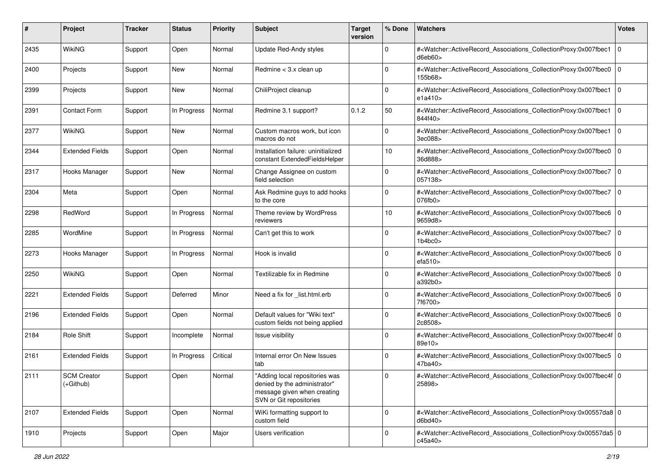| #    | Project                         | <b>Tracker</b> | <b>Status</b> | <b>Priority</b> | Subject                                                                                                                  | <b>Target</b><br>version | % Done      | Watchers                                                                                                                                                  | <b>Votes</b> |
|------|---------------------------------|----------------|---------------|-----------------|--------------------------------------------------------------------------------------------------------------------------|--------------------------|-------------|-----------------------------------------------------------------------------------------------------------------------------------------------------------|--------------|
| 2435 | WikiNG                          | Support        | Open          | Normal          | Update Red-Andy styles                                                                                                   |                          | $\mathbf 0$ | # <watcher::activerecord_associations_collectionproxy:0x007fbec1<br>d6eb60&gt;</watcher::activerecord_associations_collectionproxy:0x007fbec1<br>         | 0            |
| 2400 | Projects                        | Support        | New           | Normal          | Redmine $<$ 3.x clean up                                                                                                 |                          | $\Omega$    | # <watcher::activerecord_associations_collectionproxy:0x007fbec0<br>155b68&gt;</watcher::activerecord_associations_collectionproxy:0x007fbec0<br>         | 0            |
| 2399 | Projects                        | Support        | New           | Normal          | ChiliProject cleanup                                                                                                     |                          | 0           | # <watcher::activerecord_associations_collectionproxy:0x007fbec1<br>e1a410&gt;</watcher::activerecord_associations_collectionproxy:0x007fbec1<br>         | 0            |
| 2391 | <b>Contact Form</b>             | Support        | In Progress   | Normal          | Redmine 3.1 support?                                                                                                     | 0.1.2                    | 50          | # <watcher::activerecord_associations_collectionproxy:0x007fbec1<br>844f40&gt;</watcher::activerecord_associations_collectionproxy:0x007fbec1<br>         | l 0          |
| 2377 | WikiNG                          | Support        | New           | Normal          | Custom macros work, but icon<br>macros do not                                                                            |                          | $\Omega$    | # <watcher::activerecord_associations_collectionproxy:0x007fbec1<br>3ec088&gt;</watcher::activerecord_associations_collectionproxy:0x007fbec1<br>         | 0            |
| 2344 | <b>Extended Fields</b>          | Support        | Open          | Normal          | Installation failure: uninitialized<br>constant ExtendedFieldsHelper                                                     |                          | 10          | # <watcher::activerecord_associations_collectionproxy:0x007fbec0<br>36d888&gt;</watcher::activerecord_associations_collectionproxy:0x007fbec0<br>         | 0            |
| 2317 | Hooks Manager                   | Support        | New           | Normal          | Change Assignee on custom<br>field selection                                                                             |                          | $\Omega$    | # <watcher::activerecord_associations_collectionproxy:0x007fbec7<br>057138&gt;</watcher::activerecord_associations_collectionproxy:0x007fbec7<br>         | 0            |
| 2304 | Meta                            | Support        | Open          | Normal          | Ask Redmine guys to add hooks<br>to the core                                                                             |                          | $\mathbf 0$ | # <watcher::activerecord_associations_collectionproxy:0x007fbec7<br>076fb0</watcher::activerecord_associations_collectionproxy:0x007fbec7<br>             | l 0          |
| 2298 | RedWord                         | Support        | In Progress   | Normal          | Theme review by WordPress<br>reviewers                                                                                   |                          | 10          | # <watcher::activerecord_associations_collectionproxy:0x007fbec6<br>9659d8&gt;</watcher::activerecord_associations_collectionproxy:0x007fbec6<br>         | 0            |
| 2285 | WordMine                        | Support        | In Progress   | Normal          | Can't get this to work                                                                                                   |                          | 0           | # <watcher::activerecord_associations_collectionproxy:0x007fbec7<br>1b4bc0&gt;</watcher::activerecord_associations_collectionproxy:0x007fbec7<br>         | l 0          |
| 2273 | Hooks Manager                   | Support        | In Progress   | Normal          | Hook is invalid                                                                                                          |                          | 0           | # <watcher::activerecord_associations_collectionproxy:0x007fbec6<br>efa510&gt;</watcher::activerecord_associations_collectionproxy:0x007fbec6<br>         | l 0          |
| 2250 | <b>WikiNG</b>                   | Support        | Open          | Normal          | Textilizable fix in Redmine                                                                                              |                          | $\Omega$    | # <watcher::activerecord_associations_collectionproxy:0x007fbec6<br>a392b0&gt;</watcher::activerecord_associations_collectionproxy:0x007fbec6<br>         | 0            |
| 2221 | <b>Extended Fields</b>          | Support        | Deferred      | Minor           | Need a fix for _list.html.erb                                                                                            |                          | $\Omega$    | # <watcher::activerecord_associations_collectionproxy:0x007fbec6<br>7f6700&gt;</watcher::activerecord_associations_collectionproxy:0x007fbec6<br>         | 0            |
| 2196 | <b>Extended Fields</b>          | Support        | Open          | Normal          | Default values for "Wiki text"<br>custom fields not being applied                                                        |                          | $\Omega$    | # <watcher::activerecord_associations_collectionproxy:0x007fbec6<br>2c8508&gt;</watcher::activerecord_associations_collectionproxy:0x007fbec6<br>         | l 0          |
| 2184 | <b>Role Shift</b>               | Support        | Incomplete    | Normal          | Issue visibility                                                                                                         |                          | 0           | # <watcher::activerecord_associations_collectionproxy:0x007fbec4f 0<br=""  ="">89e10&gt;</watcher::activerecord_associations_collectionproxy:0x007fbec4f> |              |
| 2161 | <b>Extended Fields</b>          | Support        | In Progress   | Critical        | Internal error On New Issues<br>tab                                                                                      |                          | $\Omega$    | # <watcher::activerecord_associations_collectionproxy:0x007fbec5<br>47ba40&gt;</watcher::activerecord_associations_collectionproxy:0x007fbec5<br>         | 0            |
| 2111 | <b>SCM Creator</b><br>(+Github) | Support        | Open          | Normal          | "Adding local repositories was<br>denied by the administrator"<br>message given when creating<br>SVN or Git repositories |                          | $\Omega$    | # <watcher::activerecord 0<br="" associations="" collectionproxy:0x007fbec4f=""  ="">25898&gt;</watcher::activerecord>                                    |              |
| 2107 | <b>Extended Fields</b>          | Support        | Open          | Normal          | WiKi formatting support to<br>custom field                                                                               |                          | $\mathbf 0$ | # <watcher::activerecord_associations_collectionproxy:0x00557da8 0<br=""  ="">d6bd40&gt;</watcher::activerecord_associations_collectionproxy:0x00557da8>  |              |
| 1910 | Projects                        | Support        | Open          | Major           | Users verification                                                                                                       |                          | $\Omega$    | # <watcher::activerecord_associations_collectionproxy:0x00557da5 0<br=""  ="">c45a40&gt;</watcher::activerecord_associations_collectionproxy:0x00557da5>  |              |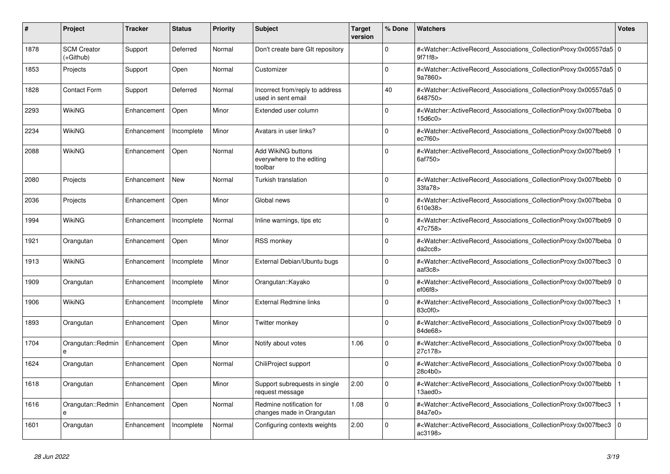| #    | <b>Project</b>                    | Tracker     | <b>Status</b> | <b>Priority</b> | <b>Subject</b>                                             | <b>Target</b><br>version | % Done      | <b>Watchers</b>                                                                                                                                          | <b>Votes</b>   |
|------|-----------------------------------|-------------|---------------|-----------------|------------------------------------------------------------|--------------------------|-------------|----------------------------------------------------------------------------------------------------------------------------------------------------------|----------------|
| 1878 | <b>SCM Creator</b><br>$(+Github)$ | Support     | Deferred      | Normal          | Don't create bare GIt repository                           |                          | $\Omega$    | # <watcher::activerecord_associations_collectionproxy:0x00557da5 0<br=""  ="">9f71f8&gt;</watcher::activerecord_associations_collectionproxy:0x00557da5> |                |
| 1853 | Projects                          | Support     | Open          | Normal          | Customizer                                                 |                          | $\Omega$    | # <watcher::activerecord_associations_collectionproxy:0x00557da5 0<br=""  ="">9a7860&gt;</watcher::activerecord_associations_collectionproxy:0x00557da5> |                |
| 1828 | <b>Contact Form</b>               | Support     | Deferred      | Normal          | Incorrect from/reply to address<br>used in sent email      |                          | 40          | # <watcher::activerecord_associations_collectionproxy:0x00557da5 0<br=""  ="">648750&gt;</watcher::activerecord_associations_collectionproxy:0x00557da5> |                |
| 2293 | WikiNG                            | Enhancement | Open          | Minor           | Extended user column                                       |                          | $\Omega$    | # <watcher::activerecord_associations_collectionproxy:0x007fbeba<br>15d6c0&gt;</watcher::activerecord_associations_collectionproxy:0x007fbeba<br>        | $\Omega$       |
| 2234 | WikiNG                            | Enhancement | Incomplete    | Minor           | Avatars in user links?                                     |                          | $\mathbf 0$ | # <watcher::activerecord_associations_collectionproxy:0x007fbeb8 0<br="">ec7f60</watcher::activerecord_associations_collectionproxy:0x007fbeb8>          |                |
| 2088 | WikiNG                            | Enhancement | Open          | Normal          | Add WikiNG buttons<br>everywhere to the editing<br>toolbar |                          | $\Omega$    | # <watcher::activerecord associations="" collectionproxy:0x007fbeb9<br="">6af750&gt;</watcher::activerecord>                                             |                |
| 2080 | Projects                          | Enhancement | <b>New</b>    | Normal          | Turkish translation                                        |                          | $\Omega$    | # <watcher::activerecord_associations_collectionproxy:0x007fbebb<br>33fa78&gt;</watcher::activerecord_associations_collectionproxy:0x007fbebb<br>        | $\mathbf 0$    |
| 2036 | Projects                          | Enhancement | Open          | Minor           | Global news                                                |                          | $\Omega$    | # <watcher::activerecord_associations_collectionproxy:0x007fbeba 0<br=""  ="">610e38&gt;</watcher::activerecord_associations_collectionproxy:0x007fbeba> |                |
| 1994 | <b>WikiNG</b>                     | Enhancement | Incomplete    | Normal          | Inline warnings, tips etc                                  |                          | $\mathbf 0$ | # <watcher::activerecord_associations_collectionproxy:0x007fbeb9<br>47c758&gt;</watcher::activerecord_associations_collectionproxy:0x007fbeb9<br>        | l 0            |
| 1921 | Orangutan                         | Enhancement | Open          | Minor           | <b>RSS monkey</b>                                          |                          | $\Omega$    | # <watcher::activerecord_associations_collectionproxy:0x007fbeba<br>da2cc8</watcher::activerecord_associations_collectionproxy:0x007fbeba<br>            | $\Omega$       |
| 1913 | WikiNG                            | Enhancement | Incomplete    | Minor           | External Debian/Ubuntu bugs                                |                          | $\Omega$    | # <watcher::activerecord associations="" collectionproxy:0x007fbec3<br="">aaf3c8&gt;</watcher::activerecord>                                             | $\Omega$       |
| 1909 | Orangutan                         | Enhancement | Incomplete    | Minor           | Orangutan::Kayako                                          |                          | $\Omega$    | # <watcher::activerecord 0<br="" associations="" collectionproxy:0x007fbeb9=""  ="">ef06f8</watcher::activerecord>                                       |                |
| 1906 | WikiNG                            | Enhancement | Incomplete    | Minor           | <b>External Redmine links</b>                              |                          | 0           | # <watcher::activerecord_associations_collectionproxy:0x007fbec3<br>83c0f0&gt;</watcher::activerecord_associations_collectionproxy:0x007fbec3<br>        |                |
| 1893 | Orangutan                         | Enhancement | Open          | Minor           | Twitter monkev                                             |                          | $\Omega$    | # <watcher::activerecord associations="" collectionproxy:0x007fbeb9<br="">84de68&gt;</watcher::activerecord>                                             | $\Omega$       |
| 1704 | Orangutan::Redmin<br>e            | Enhancement | Open          | Minor           | Notify about votes                                         | 1.06                     | $\Omega$    | # <watcher::activerecord associations="" collectionproxy:0x007fbeba<br="">27c178&gt;</watcher::activerecord>                                             | $\Omega$       |
| 1624 | Orangutan                         | Enhancement | Open          | Normal          | ChiliProject support                                       |                          | $\mathbf 0$ | # <watcher::activerecord_associations_collectionproxy:0x007fbeba<br>28c4b0&gt;</watcher::activerecord_associations_collectionproxy:0x007fbeba<br>        | $\Omega$       |
| 1618 | Orangutan                         | Enhancement | Open          | Minor           | Support subrequests in single<br>request message           | 2.00                     | $\Omega$    | # <watcher::activerecord_associations_collectionproxy:0x007fbebb<br>13aed0</watcher::activerecord_associations_collectionproxy:0x007fbebb<br>            | $\mathbf{1}$   |
| 1616 | Orangutan::Redmin<br>$\mathbf{a}$ | Enhancement | Open          | Normal          | Redmine notification for<br>changes made in Orangutan      | 1.08                     | $\Omega$    | # <watcher::activerecord associations="" collectionproxy:0x007fbec3<br="">84a7e0&gt;</watcher::activerecord>                                             |                |
| 1601 | Orangutan                         | Enhancement | Incomplete    | Normal          | Configuring contexts weights                               | 2.00                     | $\Omega$    | # <watcher::activerecord_associations_collectionproxy:0x007fbec3<br>ac3198&gt;</watcher::activerecord_associations_collectionproxy:0x007fbec3<br>        | $\overline{0}$ |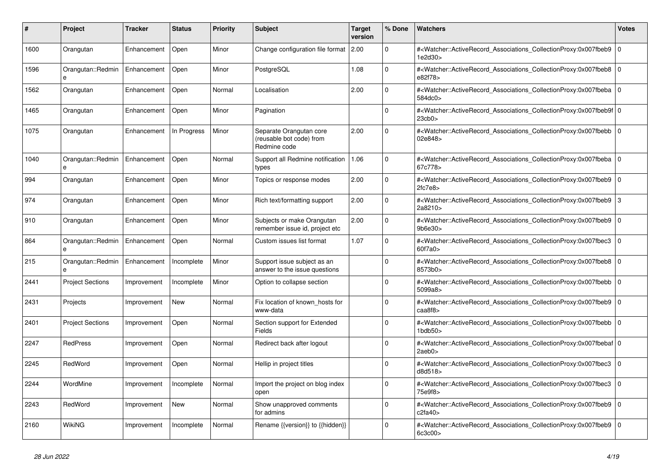| #    | <b>Project</b>          | Tracker     | <b>Status</b> | <b>Priority</b> | <b>Subject</b>                                                      | <b>Target</b><br>version | % Done   | <b>Watchers</b>                                                                                                                                                                 | <b>Votes</b> |
|------|-------------------------|-------------|---------------|-----------------|---------------------------------------------------------------------|--------------------------|----------|---------------------------------------------------------------------------------------------------------------------------------------------------------------------------------|--------------|
| 1600 | Orangutan               | Enhancement | Open          | Minor           | Change configuration file format                                    | l 2.00                   | $\Omega$ | # <watcher::activerecord_associations_collectionproxy:0x007fbeb9<br>1e2d30&gt;</watcher::activerecord_associations_collectionproxy:0x007fbeb9<br>                               | $\Omega$     |
| 1596 | Orangutan::Redmin<br>e  | Enhancement | Open          | Minor           | PostgreSQL                                                          | 1.08                     | $\Omega$ | # <watcher::activerecord associations="" collectionproxy:0x007fbeb8<br="">e82f78&gt;</watcher::activerecord>                                                                    | $\Omega$     |
| 1562 | Orangutan               | Enhancement | Open          | Normal          | Localisation                                                        | 2.00                     | $\Omega$ | # <watcher::activerecord_associations_collectionproxy:0x007fbeba 0<br=""  ="">584dc0&gt;</watcher::activerecord_associations_collectionproxy:0x007fbeba>                        |              |
| 1465 | Orangutan               | Enhancement | Open          | Minor           | Pagination                                                          |                          | $\Omega$ | # <watcher::activerecord_associations_collectionproxy:0x007fbeb9f 0<br=""  =""><math>23</math>cb<math>0</math></watcher::activerecord_associations_collectionproxy:0x007fbeb9f> |              |
| 1075 | Orangutan               | Enhancement | In Progress   | Minor           | Separate Orangutan core<br>(reusable bot code) from<br>Redmine code | 2.00                     | $\Omega$ | # <watcher::activerecord_associations_collectionproxy:0x007fbebb  <br="">02e848&gt;</watcher::activerecord_associations_collectionproxy:0x007fbebb>                             | $\mathbf 0$  |
| 1040 | Orangutan::Redmin<br>e  | Enhancement | Open          | Normal          | Support all Redmine notification<br>types                           | 1.06                     | $\Omega$ | # <watcher::activerecord 0<br="" associations="" collectionproxy:0x007fbeba=""  ="">67c778&gt;</watcher::activerecord>                                                          |              |
| 994  | Orangutan               | Enhancement | Open          | Minor           | Topics or response modes                                            | 2.00                     | $\Omega$ | # <watcher::activerecord_associations_collectionproxy:0x007fbeb9<br>2fc7e8</watcher::activerecord_associations_collectionproxy:0x007fbeb9<br>                                   | $\mathbf 0$  |
| 974  | Orangutan               | Enhancement | Open          | Minor           | Rich text/formatting support                                        | 2.00                     | $\Omega$ | # <watcher::activerecord associations="" collectionproxy:0x007fbeb9=""  <br="">2a8210&gt;</watcher::activerecord>                                                               | 3            |
| 910  | Orangutan               | Enhancement | Open          | Minor           | Subjects or make Orangutan<br>remember issue id, project etc        | 2.00                     | $\Omega$ | # <watcher::activerecord associations="" collectionproxy:0x007fbeb9<br="">9b6e30</watcher::activerecord>                                                                        | $\mathbf 0$  |
| 864  | Orangutan::Redmin       | Enhancement | Open          | Normal          | Custom issues list format                                           | 1.07                     | $\Omega$ | # <watcher::activerecord_associations_collectionproxy:0x007fbec3<br>60f7a0&gt;</watcher::activerecord_associations_collectionproxy:0x007fbec3<br>                               | $\Omega$     |
| 215  | Orangutan::Redmin       | Enhancement | Incomplete    | Minor           | Support issue subject as an<br>answer to the issue questions        |                          | $\Omega$ | # <watcher::activerecord associations="" collectionproxy:0x007fbeb8=""  <br="">8573b0&gt;</watcher::activerecord>                                                               | $\Omega$     |
| 2441 | <b>Project Sections</b> | Improvement | Incomplete    | Minor           | Option to collapse section                                          |                          | $\Omega$ | # <watcher::activerecord associations="" collectionproxy:0x007fbebb<br="">5099a8&gt;</watcher::activerecord>                                                                    | $\mathbf 0$  |
| 2431 | Projects                | Improvement | New           | Normal          | Fix location of known hosts for<br>www-data                         |                          | $\Omega$ | # <watcher::activerecord_associations_collectionproxy:0x007fbeb9<br>caa8f8</watcher::activerecord_associations_collectionproxy:0x007fbeb9<br>                                   | $\Omega$     |
| 2401 | <b>Project Sections</b> | Improvement | Open          | Normal          | Section support for Extended<br><b>Fields</b>                       |                          | $\Omega$ | # <watcher::activerecord associations="" collectionproxy:0x007fbebb=""  <br=""><math>1</math>bdb<math>50</math></watcher::activerecord>                                         | $\mathbf 0$  |
| 2247 | <b>RedPress</b>         | Improvement | Open          | Normal          | Redirect back after logout                                          |                          | $\Omega$ | # <watcher::activerecord 0<br="" associations="" collectionproxy:0x007fbebaf=""  ="">2aeb0</watcher::activerecord>                                                              |              |
| 2245 | RedWord                 | Improvement | Open          | Normal          | Hellip in project titles                                            |                          | $\Omega$ | # <watcher::activerecord_associations_collectionproxy:0x007fbec3<br>d8d518&gt;</watcher::activerecord_associations_collectionproxy:0x007fbec3<br>                               | $\mathbf 0$  |
| 2244 | WordMine                | Improvement | Incomplete    | Normal          | Import the project on blog index<br>open                            |                          | $\Omega$ | # <watcher::activerecord associations="" collectionproxy:0x007fbec3=""  <br="">75e9f8&gt;</watcher::activerecord>                                                               | $\Omega$     |
| 2243 | RedWord                 | Improvement | <b>New</b>    | Normal          | Show unapproved comments<br>for admins                              |                          | $\Omega$ | # <watcher::activerecord associations="" collectionproxy:0x007fbeb9<br="">c2fa40&gt;</watcher::activerecord>                                                                    | $\mathbf 0$  |
| 2160 | WikiNG                  | Improvement | Incomplete    | Normal          | Rename {{version}} to {{hidden}}                                    |                          | $\Omega$ | # <watcher::activerecord_associations_collectionproxy:0x007fbeb9<br>6c3c00&gt;</watcher::activerecord_associations_collectionproxy:0x007fbeb9<br>                               | $\mathbf 0$  |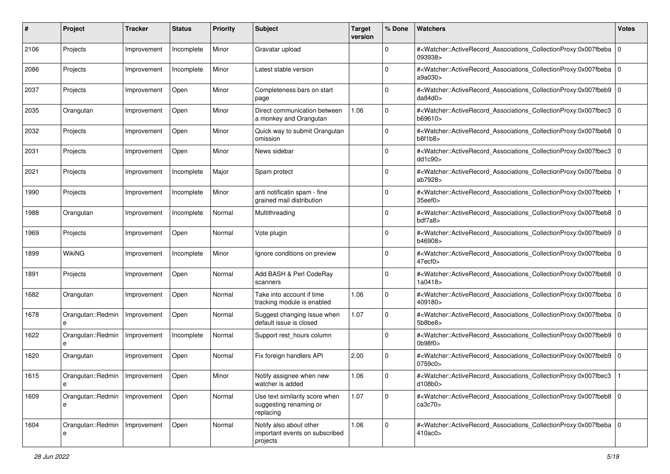| #    | Project                | Tracker     | <b>Status</b> | <b>Priority</b> | <b>Subject</b>                                                        | <b>Target</b><br>version | % Done         | <b>Watchers</b>                                                                                                                                                | <b>Votes</b>   |
|------|------------------------|-------------|---------------|-----------------|-----------------------------------------------------------------------|--------------------------|----------------|----------------------------------------------------------------------------------------------------------------------------------------------------------------|----------------|
| 2106 | Projects               | Improvement | Incomplete    | Minor           | Gravatar upload                                                       |                          | $\mathbf 0$    | # <watcher::activerecord_associations_collectionproxy:0x007fbeba<br>093938&gt;</watcher::activerecord_associations_collectionproxy:0x007fbeba<br>              | $\overline{0}$ |
| 2086 | Projects               | Improvement | Incomplete    | Minor           | Latest stable version                                                 |                          | $\Omega$       | # <watcher::activerecord_associations_collectionproxy:0x007fbeba 0<br="">a9a030&gt;</watcher::activerecord_associations_collectionproxy:0x007fbeba>            |                |
| 2037 | Projects               | Improvement | Open          | Minor           | Completeness bars on start<br>page                                    |                          | $\Omega$       | # <watcher::activerecord_associations_collectionproxy:0x007fbeb9<br>da84d0&gt;</watcher::activerecord_associations_collectionproxy:0x007fbeb9<br>              | $\Omega$       |
| 2035 | Orangutan              | Improvement | Open          | Minor           | Direct communication between<br>a monkey and Orangutan                | 1.06                     | $\Omega$       | # <watcher::activerecord_associations_collectionproxy:0x007fbec3<br>b69610&gt;</watcher::activerecord_associations_collectionproxy:0x007fbec3<br>              | 10             |
| 2032 | Projects               | Improvement | Open          | Minor           | Quick way to submit Orangutan<br>omission                             |                          | $\mathbf 0$    | # <watcher::activerecord_associations_collectionproxy:0x007fbeb8 0<br="">b8f1b8</watcher::activerecord_associations_collectionproxy:0x007fbeb8>                |                |
| 2031 | Projects               | Improvement | Open          | Minor           | News sidebar                                                          |                          | $\Omega$       | # <watcher::activerecord_associations_collectionproxy:0x007fbec3<br>dd1c90<sub>&gt;</sub></watcher::activerecord_associations_collectionproxy:0x007fbec3<br>   | l O            |
| 2021 | Projects               | Improvement | Incomplete    | Major           | Spam protect                                                          |                          | $\overline{0}$ | # <watcher::activerecord_associations_collectionproxy:0x007fbeba  <br="">ab7928&gt;</watcher::activerecord_associations_collectionproxy:0x007fbeba>            | l 0            |
| 1990 | Projects               | Improvement | Incomplete    | Minor           | anti notificatin spam - fine<br>grained mail distribution             |                          | $\Omega$       | # <watcher::activerecord_associations_collectionproxy:0x007fbebb<br>35eef0&gt;</watcher::activerecord_associations_collectionproxy:0x007fbebb<br>              |                |
| 1988 | Orangutan              | Improvement | Incomplete    | Normal          | Multithreading                                                        |                          | $\mathbf 0$    | # <watcher::activerecord_associations_collectionproxy:0x007fbeb8 0<br="">bdf7a8&gt;</watcher::activerecord_associations_collectionproxy:0x007fbeb8>            |                |
| 1969 | Projects               | Improvement | Open          | Normal          | Vote plugin                                                           |                          | $\Omega$       | # <watcher::activerecord_associations_collectionproxy:0x007fbeb9<br>b46908&gt;</watcher::activerecord_associations_collectionproxy:0x007fbeb9<br>              |                |
| 1899 | WikiNG                 | Improvement | Incomplete    | Minor           | Ignore conditions on preview                                          |                          | $\Omega$       | # <watcher::activerecord_associations_collectionproxy:0x007fbeba 0<br=""  ="">47ecf0&gt;</watcher::activerecord_associations_collectionproxy:0x007fbeba>       |                |
| 1891 | Projects               | Improvement | Open          | Normal          | Add BASH & Perl CodeRay<br>scanners                                   |                          | $\mathbf 0$    | # <watcher::activerecord_associations_collectionproxy:0x007fbeb8 0<br="">1a0418&gt;</watcher::activerecord_associations_collectionproxy:0x007fbeb8>            |                |
| 1682 | Orangutan              | Improvement | Open          | Normal          | Take into account if time<br>tracking module is enabled               | 1.06                     | $\mathbf 0$    | # <watcher::activerecord_associations_collectionproxy:0x007fbeba<br>409180&gt;</watcher::activerecord_associations_collectionproxy:0x007fbeba<br>              | $\overline{0}$ |
| 1678 | Orangutan::Redmin      | Improvement | Open          | Normal          | Suggest changing issue when<br>default issue is closed                | 1.07                     | $\mathbf 0$    | # <watcher::activerecord_associations_collectionproxy:0x007fbeba  <br="">5b8be8</watcher::activerecord_associations_collectionproxy:0x007fbeba>                | l 0            |
| 1622 | Orangutan::Redmin<br>e | Improvement | Incomplete    | Normal          | Support rest_hours column                                             |                          | $\mathbf 0$    | # <watcher::activerecord_associations_collectionproxy:0x007fbeb9 0<br="">0b98f0</watcher::activerecord_associations_collectionproxy:0x007fbeb9>                |                |
| 1620 | Orangutan              | Improvement | Open          | Normal          | Fix foreign handlers API                                              | 2.00                     | $\mathbf 0$    | # <watcher::activerecord 0<br="" associations="" collectionproxy:0x007fbeb9="">0759c0&gt;</watcher::activerecord>                                              |                |
| 1615 | Orangutan::Redmin<br>e | Improvement | Open          | Minor           | Notify assignee when new<br>watcher is added                          | 1.06                     | $\mathbf 0$    | # <watcher::activerecord associations="" collectionproxy:0x007fbec3<br="">d108b0&gt;</watcher::activerecord>                                                   |                |
| 1609 | Orangutan::Redmin<br>е | Improvement | Open          | Normal          | Use text similarity score when<br>suggesting renaming or<br>replacing | 1.07                     | $\mathbf 0$    | # <watcher::activerecord_associations_collectionproxy:0x007fbeb8 0<br="">ca3c70<sub>&gt;</sub></watcher::activerecord_associations_collectionproxy:0x007fbeb8> |                |
| 1604 | Orangutan::Redmin<br>e | Improvement | Open          | Normal          | Notify also about other<br>important events on subscribed<br>projects | 1.06                     | 0              | # <watcher::activerecord_associations_collectionproxy:0x007fbeba 0<br=""  ="">410ac0&gt;</watcher::activerecord_associations_collectionproxy:0x007fbeba>       |                |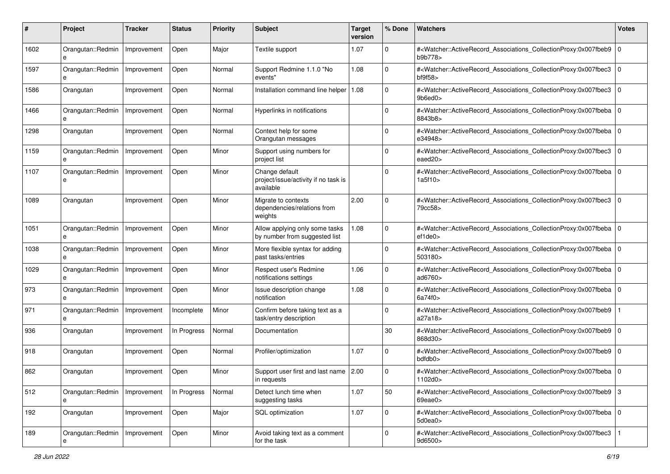| #    | Project                | <b>Tracker</b> | <b>Status</b> | <b>Priority</b> | <b>Subject</b>                                                      | <b>Target</b><br>version | % Done      | <b>Watchers</b>                                                                                                                                                             | <b>Votes</b> |
|------|------------------------|----------------|---------------|-----------------|---------------------------------------------------------------------|--------------------------|-------------|-----------------------------------------------------------------------------------------------------------------------------------------------------------------------------|--------------|
| 1602 | Orangutan::Redmin<br>e | Improvement    | Open          | Major           | Textile support                                                     | 1.07                     | $\mathbf 0$ | # <watcher::activerecord_associations_collectionproxy:0x007fbeb9<br>b9b778&gt;</watcher::activerecord_associations_collectionproxy:0x007fbeb9<br>                           | $\mathbf 0$  |
| 1597 | Orangutan::Redmin<br>e | Improvement    | Open          | Normal          | Support Redmine 1.1.0 "No<br>events"                                | 1.08                     | 0           | # <watcher::activerecord_associations_collectionproxy:0x007fbec3<br><math>b</math>f9f58<math>&gt;</math></watcher::activerecord_associations_collectionproxy:0x007fbec3<br> | $\mathbf 0$  |
| 1586 | Orangutan              | Improvement    | Open          | Normal          | Installation command line helper                                    | 1.08                     | 0           | # <watcher::activerecord_associations_collectionproxy:0x007fbec3<br>9b6ed0&gt;</watcher::activerecord_associations_collectionproxy:0x007fbec3<br>                           | $\mathbf 0$  |
| 1466 | Orangutan::Redmin<br>e | Improvement    | Open          | Normal          | Hyperlinks in notifications                                         |                          | $\Omega$    | # <watcher::activerecord_associations_collectionproxy:0x007fbeba<br>8843b8&gt;</watcher::activerecord_associations_collectionproxy:0x007fbeba<br>                           | $\mathbf 0$  |
| 1298 | Orangutan              | Improvement    | Open          | Normal          | Context help for some<br>Orangutan messages                         |                          | 0           | # <watcher::activerecord_associations_collectionproxy:0x007fbeba<br>e34948&gt;</watcher::activerecord_associations_collectionproxy:0x007fbeba<br>                           | $\mathbf 0$  |
| 1159 | Orangutan::Redmin      | Improvement    | Open          | Minor           | Support using numbers for<br>project list                           |                          | 0           | # <watcher::activerecord_associations_collectionproxy:0x007fbec3<br>eaed20&gt;</watcher::activerecord_associations_collectionproxy:0x007fbec3<br>                           | $\mathbf 0$  |
| 1107 | Orangutan::Redmin<br>e | Improvement    | Open          | Minor           | Change default<br>project/issue/activity if no task is<br>available |                          | $\Omega$    | # <watcher::activerecord_associations_collectionproxy:0x007fbeba<br>1a5f10&gt;</watcher::activerecord_associations_collectionproxy:0x007fbeba<br>                           | $\Omega$     |
| 1089 | Orangutan              | Improvement    | Open          | Minor           | Migrate to contexts<br>dependencies/relations from<br>weights       | 2.00                     | 0           | # <watcher::activerecord_associations_collectionproxy:0x007fbec3<br>79cc58&gt;</watcher::activerecord_associations_collectionproxy:0x007fbec3<br>                           | $\Omega$     |
| 1051 | Orangutan::Redmin<br>e | Improvement    | Open          | Minor           | Allow applying only some tasks<br>by number from suggested list     | 1.08                     | 0           | # <watcher::activerecord_associations_collectionproxy:0x007fbeba<br>ef1de0</watcher::activerecord_associations_collectionproxy:0x007fbeba<br>                               | $\Omega$     |
| 1038 | Orangutan::Redmin<br>e | Improvement    | Open          | Minor           | More flexible syntax for adding<br>past tasks/entries               |                          | 0           | # <watcher::activerecord_associations_collectionproxy:0x007fbeba<br>503180&gt;</watcher::activerecord_associations_collectionproxy:0x007fbeba<br>                           | $\Omega$     |
| 1029 | Orangutan::Redmin<br>e | Improvement    | Open          | Minor           | Respect user's Redmine<br>notifications settings                    | 1.06                     | 0           | # <watcher::activerecord_associations_collectionproxy:0x007fbeba<br>ad6760&gt;</watcher::activerecord_associations_collectionproxy:0x007fbeba<br>                           | $\mathbf 0$  |
| 973  | Orangutan::Redmin<br>e | Improvement    | Open          | Minor           | Issue description change<br>notification                            | 1.08                     | $\mathbf 0$ | # <watcher::activerecord_associations_collectionproxy:0x007fbeba 0<br=""  ="">6a74f0&gt;</watcher::activerecord_associations_collectionproxy:0x007fbeba>                    |              |
| 971  | Orangutan::Redmin<br>e | Improvement    | Incomplete    | Minor           | Confirm before taking text as a<br>task/entry description           |                          | 0           | # <watcher::activerecord_associations_collectionproxy:0x007fbeb9<br>a27a18&gt;</watcher::activerecord_associations_collectionproxy:0x007fbeb9<br>                           |              |
| 936  | Orangutan              | Improvement    | In Progress   | Normal          | Documentation                                                       |                          | 30          | # <watcher::activerecord_associations_collectionproxy:0x007fbeb9 0<br="">868d30&gt;</watcher::activerecord_associations_collectionproxy:0x007fbeb9>                         |              |
| 918  | Orangutan              | Improvement    | Open          | Normal          | Profiler/optimization                                               | 1.07                     | 0           | # <watcher::activerecord_associations_collectionproxy:0x007fbeb9 0<br="">bdfdb0&gt;</watcher::activerecord_associations_collectionproxy:0x007fbeb9>                         |              |
| 862  | Orangutan              | Improvement    | Open          | Minor           | Support user first and last name   2.00<br>in requests              |                          | 0           | # <watcher::activerecord_associations_collectionproxy:0x007fbeba 0<br=""  ="">1102d0&gt;</watcher::activerecord_associations_collectionproxy:0x007fbeba>                    |              |
| 512  | Orangutan::Redmin<br>e | Improvement    | In Progress   | Normal          | Detect lunch time when<br>suggesting tasks                          | 1.07                     | 50          | # <watcher::activerecord_associations_collectionproxy:0x007fbeb9 3<br="">69eae0&gt;</watcher::activerecord_associations_collectionproxy:0x007fbeb9>                         |              |
| 192  | Orangutan              | Improvement    | Open          | Major           | SQL optimization                                                    | 1.07                     | $\mathbf 0$ | # <watcher::activerecord 0<br="" associations="" collectionproxy:0x007fbeba="">5d0ea0&gt;</watcher::activerecord>                                                           |              |
| 189  | Orangutan::Redmin      | Improvement    | Open          | Minor           | Avoid taking text as a comment<br>for the task                      |                          | $\mathbf 0$ | # <watcher::activerecord associations="" collectionproxy:0x007fbec3<br="">9d6500&gt;</watcher::activerecord>                                                                |              |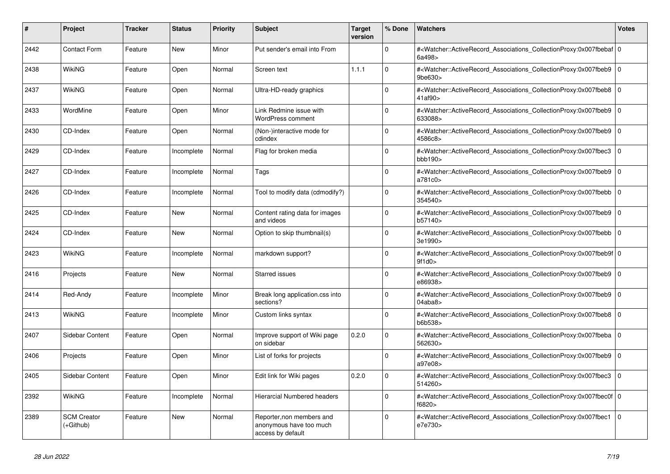| #    | <b>Project</b>                  | Tracker | <b>Status</b> | <b>Priority</b> | <b>Subject</b>                                                            | <b>Target</b><br>version | % Done   | <b>Watchers</b>                                                                                                                                           | <b>Votes</b> |
|------|---------------------------------|---------|---------------|-----------------|---------------------------------------------------------------------------|--------------------------|----------|-----------------------------------------------------------------------------------------------------------------------------------------------------------|--------------|
| 2442 | <b>Contact Form</b>             | Feature | <b>New</b>    | Minor           | Put sender's email into From                                              |                          | $\Omega$ | # <watcher::activerecord 0<br="" associations="" collectionproxy:0x007fbebaf=""  ="">6a498&gt;</watcher::activerecord>                                    |              |
| 2438 | WikiNG                          | Feature | Open          | Normal          | Screen text                                                               | 1.1.1                    | $\Omega$ | # <watcher::activerecord associations="" collectionproxy:0x007fbeb9<br=""><math>9</math>be<math>630</math></watcher::activerecord>                        | $\Omega$     |
| 2437 | WikiNG                          | Feature | Open          | Normal          | Ultra-HD-ready graphics                                                   |                          | $\Omega$ | # <watcher::activerecord 0<br="" associations="" collectionproxy:0x007fbeb8=""  ="">41af90&gt;</watcher::activerecord>                                    |              |
| 2433 | WordMine                        | Feature | Open          | Minor           | Link Redmine issue with<br><b>WordPress comment</b>                       |                          | $\Omega$ | # <watcher::activerecord_associations_collectionproxy:0x007fbeb9 0<br=""  ="">633088&gt;</watcher::activerecord_associations_collectionproxy:0x007fbeb9>  |              |
| 2430 | CD-Index                        | Feature | Open          | Normal          | (Non-)interactive mode for<br>cdindex                                     |                          | $\Omega$ | # <watcher::activerecord associations="" collectionproxy:0x007fbeb9<br="">4586c8&gt;</watcher::activerecord>                                              | $\Omega$     |
| 2429 | CD-Index                        | Feature | Incomplete    | Normal          | Flag for broken media                                                     |                          | $\Omega$ | # <watcher::activerecord_associations_collectionproxy:0x007fbec3 0<br=""  ="">bbb190</watcher::activerecord_associations_collectionproxy:0x007fbec3>      |              |
| 2427 | CD-Index                        | Feature | Incomplete    | Normal          | Tags                                                                      |                          | $\Omega$ | # <watcher::activerecord_associations_collectionproxy:0x007fbeb9  <br="">a781c0&gt;</watcher::activerecord_associations_collectionproxy:0x007fbeb9>       | $\mathbf 0$  |
| 2426 | CD-Index                        | Feature | Incomplete    | Normal          | Tool to modify data (cdmodify?)                                           |                          | $\Omega$ | # <watcher::activerecord_associations_collectionproxy:0x007fbebb<br>354540&gt;</watcher::activerecord_associations_collectionproxy:0x007fbebb<br>         | $\mathbf{0}$ |
| 2425 | CD-Index                        | Feature | New           | Normal          | Content rating data for images<br>and videos                              |                          | $\Omega$ | # <watcher::activerecord_associations_collectionproxy:0x007fbeb9 0<br=""  ="">b57140&gt;</watcher::activerecord_associations_collectionproxy:0x007fbeb9>  |              |
| 2424 | CD-Index                        | Feature | New           | Normal          | Option to skip thumbnail(s)                                               |                          | $\Omega$ | # <watcher::activerecord associations="" collectionproxy:0x007fbebb<br="">3e1990&gt;</watcher::activerecord>                                              | $\mathbf 0$  |
| 2423 | WikiNG                          | Feature | Incomplete    | Normal          | markdown support?                                                         |                          | $\Omega$ | # <watcher::activerecord_associations_collectionproxy:0x007fbeb9f 0<br=""  ="">9f1d0</watcher::activerecord_associations_collectionproxy:0x007fbeb9f>     |              |
| 2416 | Projects                        | Feature | New           | Normal          | <b>Starred issues</b>                                                     |                          | $\Omega$ | # <watcher::activerecord 0<br="" associations="" collectionproxy:0x007fbeb9=""  ="">e86938&gt;</watcher::activerecord>                                    |              |
| 2414 | Red-Andy                        | Feature | Incomplete    | Minor           | Break long application.css into<br>sections?                              |                          | $\Omega$ | # <watcher::activerecord associations="" collectionproxy:0x007fbeb9<br="">04abab</watcher::activerecord>                                                  | $\mathbf{0}$ |
| 2413 | WikiNG                          | Feature | Incomplete    | Minor           | Custom links syntax                                                       |                          | $\Omega$ | # <watcher::activerecord_associations_collectionproxy:0x007fbeb8  <br="">b6b538&gt;</watcher::activerecord_associations_collectionproxy:0x007fbeb8>       | $\mathbf 0$  |
| 2407 | Sidebar Content                 | Feature | Open          | Normal          | Improve support of Wiki page<br>on sidebar                                | 0.2.0                    | $\Omega$ | # <watcher::activerecord 0<br="" associations="" collectionproxy:0x007fbeba=""  ="">562630&gt;</watcher::activerecord>                                    |              |
| 2406 | Projects                        | Feature | Open          | Minor           | List of forks for projects                                                |                          | $\Omega$ | # <watcher::activerecord_associations_collectionproxy:0x007fbeb9<br>a97e08&gt;</watcher::activerecord_associations_collectionproxy:0x007fbeb9<br>         | $\mathbf 0$  |
| 2405 | Sidebar Content                 | Feature | Open          | Minor           | Edit link for Wiki pages                                                  | 0.2.0                    | $\Omega$ | # <watcher::activerecord_associations_collectionproxy:0x007fbec3<br>514260&gt;</watcher::activerecord_associations_collectionproxy:0x007fbec3<br>         | $\mathbf 0$  |
| 2392 | WikiNG                          | Feature | Incomplete    | Normal          | <b>Hierarcial Numbered headers</b>                                        |                          | $\Omega$ | # <watcher::activerecord_associations_collectionproxy:0x007fbec0f 0<br=""  ="">f6820&gt;</watcher::activerecord_associations_collectionproxy:0x007fbec0f> |              |
| 2389 | <b>SCM Creator</b><br>(+Github) | Feature | New           | Normal          | Reporter, non members and<br>anonymous have too much<br>access by default |                          | $\Omega$ | # <watcher::activerecord_associations_collectionproxy:0x007fbec1<br>e7e730&gt;</watcher::activerecord_associations_collectionproxy:0x007fbec1<br>         | $\Omega$     |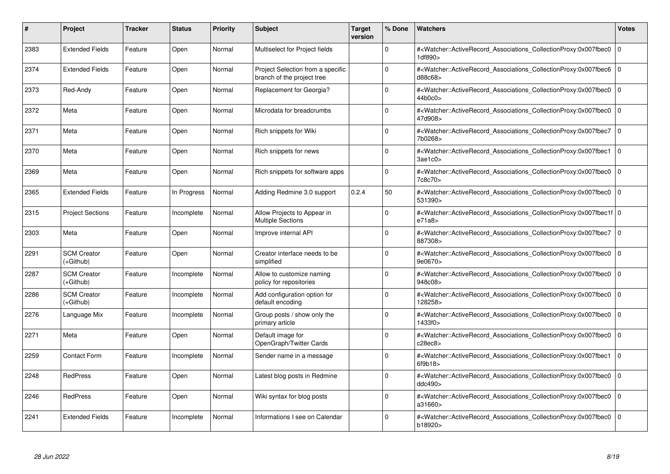| #    | Project                         | Tracker | <b>Status</b> | <b>Priority</b> | <b>Subject</b>                                                  | <b>Target</b><br>version | % Done   | <b>Watchers</b>                                                                                                                                          | <b>Votes</b> |
|------|---------------------------------|---------|---------------|-----------------|-----------------------------------------------------------------|--------------------------|----------|----------------------------------------------------------------------------------------------------------------------------------------------------------|--------------|
| 2383 | <b>Extended Fields</b>          | Feature | Open          | Normal          | Multiselect for Project fields                                  |                          | $\Omega$ | # <watcher::activerecord associations="" collectionproxy:0x007fbec0<br="">1df890&gt;</watcher::activerecord>                                             | $\mathbf{0}$ |
| 2374 | <b>Extended Fields</b>          | Feature | Open          | Normal          | Project Selection from a specific<br>branch of the project tree |                          | $\Omega$ | # <watcher::activerecord 0<br="" associations="" collectionproxy:0x007fbec6=""  ="">d88c68&gt;</watcher::activerecord>                                   |              |
| 2373 | Red-Andy                        | Feature | Open          | Normal          | Replacement for Georgia?                                        |                          | $\Omega$ | # <watcher::activerecord_associations_collectionproxy:0x007fbec0<br>44b0c0</watcher::activerecord_associations_collectionproxy:0x007fbec0<br>            | $\Omega$     |
| 2372 | Meta                            | Feature | Open          | Normal          | Microdata for breadcrumbs                                       |                          | $\Omega$ | # <watcher::activerecord_associations_collectionproxy:0x007fbec0 0<br="">47d908&gt;</watcher::activerecord_associations_collectionproxy:0x007fbec0>      |              |
| 2371 | Meta                            | Feature | Open          | Normal          | Rich snippets for Wiki                                          |                          | $\Omega$ | # <watcher::activerecord_associations_collectionproxy:0x007fbec7 0<br=""  ="">7b0268&gt;</watcher::activerecord_associations_collectionproxy:0x007fbec7> |              |
| 2370 | Meta                            | Feature | Open          | Normal          | Rich snippets for news                                          |                          | $\Omega$ | # <watcher::activerecord_associations_collectionproxy:0x007fbec1 0<br="">3ae1c0</watcher::activerecord_associations_collectionproxy:0x007fbec1>          |              |
| 2369 | Meta                            | Feature | Open          | Normal          | Rich snippets for software apps                                 |                          | $\Omega$ | # <watcher::activerecord associations="" collectionproxy:0x007fbec0<br="">7c8c70&gt;</watcher::activerecord>                                             | $\mathbf 0$  |
| 2365 | <b>Extended Fields</b>          | Feature | In Progress   | Normal          | Adding Redmine 3.0 support                                      | 0.2.4                    | 50       | # <watcher::activerecord_associations_collectionproxy:0x007fbec0  <br="">531390&gt;</watcher::activerecord_associations_collectionproxy:0x007fbec0>      | $\mathbf 0$  |
| 2315 | <b>Project Sections</b>         | Feature | Incomplete    | Normal          | Allow Projects to Appear in<br><b>Multiple Sections</b>         |                          | $\Omega$ | # <watcher::activerecord_associations_collectionproxy:0x007fbec1f 0<br=""  ="">e71a8</watcher::activerecord_associations_collectionproxy:0x007fbec1f>    |              |
| 2303 | Meta                            | Feature | Open          | Normal          | Improve internal API                                            |                          | $\Omega$ | # <watcher::activerecord 0<br="" associations="" collectionproxy:0x007fbec7=""  ="">887308&gt;</watcher::activerecord>                                   |              |
| 2291 | <b>SCM Creator</b><br>(+Github) | Feature | Open          | Normal          | Creator interface needs to be<br>simplified                     |                          | $\Omega$ | # <watcher::activerecord_associations_collectionproxy:0x007fbec0<br>9e0670&gt;</watcher::activerecord_associations_collectionproxy:0x007fbec0<br>        | $\Omega$     |
| 2287 | <b>SCM Creator</b><br>(+Github) | Feature | Incomplete    | Normal          | Allow to customize naming<br>policy for repositories            |                          | $\Omega$ | # <watcher::activerecord associations="" collectionproxy:0x007fbec0<br="">948c08&gt;</watcher::activerecord>                                             | $\mathbf 0$  |
| 2286 | <b>SCM Creator</b><br>(+Github) | Feature | Incomplete    | Normal          | Add configuration option for<br>default encoding                |                          | $\Omega$ | # <watcher::activerecord associations="" collectionproxy:0x007fbec0<br="">128258&gt;</watcher::activerecord>                                             | $\mathbf 0$  |
| 2276 | Language Mix                    | Feature | Incomplete    | Normal          | Group posts / show only the<br>primary article                  |                          | $\Omega$ | # <watcher::activerecord_associations_collectionproxy:0x007fbec0<br>1433f0&gt;</watcher::activerecord_associations_collectionproxy:0x007fbec0<br>        | $\Omega$     |
| 2271 | Meta                            | Feature | Open          | Normal          | Default image for<br>OpenGraph/Twitter Cards                    |                          | $\Omega$ | # <watcher::activerecord associations="" collectionproxy:0x007fbec0=""  <br="">c28ec8</watcher::activerecord>                                            | $\mathbf 0$  |
| 2259 | <b>Contact Form</b>             | Feature | Incomplete    | Normal          | Sender name in a message                                        |                          | $\Omega$ | # <watcher::activerecord_associations_collectionproxy:0x007fbec1<br>6f9b18</watcher::activerecord_associations_collectionproxy:0x007fbec1<br>            | $\mathbf 0$  |
| 2248 | <b>RedPress</b>                 | Feature | Open          | Normal          | Latest blog posts in Redmine                                    |                          | $\Omega$ | # <watcher::activerecord_associations_collectionproxy:0x007fbec0  <br="">ddc490&gt;</watcher::activerecord_associations_collectionproxy:0x007fbec0>      | $\mathbf 0$  |
| 2246 | <b>RedPress</b>                 | Feature | Open          | Normal          | Wiki syntax for blog posts                                      |                          | $\Omega$ | # <watcher::activerecord associations="" collectionproxy:0x007fbec0<br="">a31660&gt;</watcher::activerecord>                                             | $\mathbf{0}$ |
| 2241 | <b>Extended Fields</b>          | Feature | Incomplete    | Normal          | Informations I see on Calendar                                  |                          | $\Omega$ | # <watcher::activerecord_associations_collectionproxy:0x007fbec0 0<br=""  ="">b18920&gt;</watcher::activerecord_associations_collectionproxy:0x007fbec0> |              |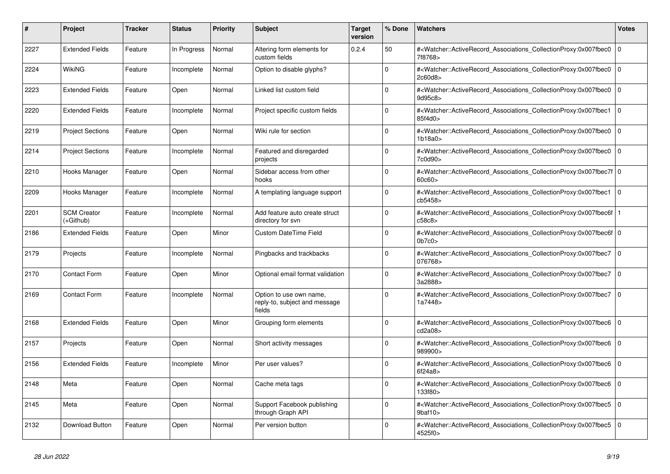| #    | <b>Project</b>                  | Tracker | <b>Status</b> | <b>Priority</b> | <b>Subject</b>                                                     | <b>Target</b><br>version | % Done      | <b>Watchers</b>                                                                                                                                                                    | <b>Votes</b>   |
|------|---------------------------------|---------|---------------|-----------------|--------------------------------------------------------------------|--------------------------|-------------|------------------------------------------------------------------------------------------------------------------------------------------------------------------------------------|----------------|
| 2227 | <b>Extended Fields</b>          | Feature | In Progress   | Normal          | Altering form elements for<br>custom fields                        | 0.2.4                    | 50          | # <watcher::activerecord_associations_collectionproxy:0x007fbec0<br>7f8768&gt;</watcher::activerecord_associations_collectionproxy:0x007fbec0<br>                                  | $\mathbf 0$    |
| 2224 | WikiNG                          | Feature | Incomplete    | Normal          | Option to disable glyphs?                                          |                          | $\Omega$    | # <watcher::activerecord associations="" collectionproxy:0x007fbec0<br="">2c60d8&gt;</watcher::activerecord>                                                                       | $\Omega$       |
| 2223 | <b>Extended Fields</b>          | Feature | Open          | Normal          | Linked list custom field                                           |                          | $\Omega$    | # <watcher::activerecord_associations_collectionproxy:0x007fbec0 0<br="">9d95c8&gt;</watcher::activerecord_associations_collectionproxy:0x007fbec0>                                |                |
| 2220 | <b>Extended Fields</b>          | Feature | Incomplete    | Normal          | Project specific custom fields                                     |                          | $\Omega$    | # <watcher::activerecord_associations_collectionproxy:0x007fbec1<br>85f4d0</watcher::activerecord_associations_collectionproxy:0x007fbec1<br>                                      | $\Omega$       |
| 2219 | <b>Project Sections</b>         | Feature | Open          | Normal          | Wiki rule for section                                              |                          | $\Omega$    | # <watcher::activerecord associations="" collectionproxy:0x007fbec0<br="">1b18a0&gt;</watcher::activerecord>                                                                       | $\mathbf{0}$   |
| 2214 | <b>Project Sections</b>         | Feature | Incomplete    | Normal          | Featured and disregarded<br>projects                               |                          | $\Omega$    | # <watcher::activerecord_associations_collectionproxy:0x007fbec0 0<br=""  ="">7c0d90&gt;</watcher::activerecord_associations_collectionproxy:0x007fbec0>                           |                |
| 2210 | Hooks Manager                   | Feature | Open          | Normal          | Sidebar access from other<br>hooks                                 |                          | $\Omega$    | # <watcher::activerecord_associations_collectionproxy:0x007fbec7f 0<br=""  ="">60c60</watcher::activerecord_associations_collectionproxy:0x007fbec7f>                              |                |
| 2209 | Hooks Manager                   | Feature | Incomplete    | Normal          | A templating language support                                      |                          | $\Omega$    | # <watcher::activerecord associations="" collectionproxy:0x007fbec1<br="">cb5458&gt;</watcher::activerecord>                                                                       | $\overline{0}$ |
| 2201 | <b>SCM Creator</b><br>(+Github) | Feature | Incomplete    | Normal          | Add feature auto create struct<br>directory for svn                |                          | $\Omega$    | # <watcher::activerecord associations="" collectionproxy:0x007fbec6f<br="">c58c8&gt;</watcher::activerecord>                                                                       |                |
| 2186 | <b>Extended Fields</b>          | Feature | Open          | Minor           | <b>Custom DateTime Field</b>                                       |                          | $\Omega$    | # <watcher::activerecord_associations_collectionproxy:0x007fbec6f 0<br=""  =""><math>0b7c0&gt;</math></watcher::activerecord_associations_collectionproxy:0x007fbec6f>             |                |
| 2179 | Projects                        | Feature | Incomplete    | Normal          | Pingbacks and trackbacks                                           |                          | $\Omega$    | # <watcher::activerecord_associations_collectionproxy:0x007fbec7 0<br=""  ="">076768&gt;</watcher::activerecord_associations_collectionproxy:0x007fbec7>                           |                |
| 2170 | <b>Contact Form</b>             | Feature | Open          | Minor           | Optional email format validation                                   |                          | $\Omega$    | # <watcher::activerecord_associations_collectionproxy:0x007fbec7 0<br=""  ="">3a2888&gt;</watcher::activerecord_associations_collectionproxy:0x007fbec7>                           |                |
| 2169 | <b>Contact Form</b>             | Feature | Incomplete    | Normal          | Option to use own name,<br>reply-to, subject and message<br>fields |                          | $\Omega$    | # <watcher::activerecord associations="" collectionproxy:0x007fbec7<br="">1a7448&gt;</watcher::activerecord>                                                                       | $\mathbf 0$    |
| 2168 | <b>Extended Fields</b>          | Feature | Open          | Minor           | Grouping form elements                                             |                          | $\Omega$    | # <watcher::activerecord_associations_collectionproxy:0x007fbec6 0<br=""  ="">cd2a08&gt;</watcher::activerecord_associations_collectionproxy:0x007fbec6>                           |                |
| 2157 | Projects                        | Feature | Open          | Normal          | Short activity messages                                            |                          | $\Omega$    | # <watcher::activerecord associations="" collectionproxy:0x007fbec6=""  <br="">989900&gt;</watcher::activerecord>                                                                  | $\mathbf 0$    |
| 2156 | <b>Extended Fields</b>          | Feature | Incomplete    | Minor           | Per user values?                                                   |                          | $\mathbf 0$ | # <watcher::activerecord associations="" collectionproxy:0x007fbec6<br="">6f24a8</watcher::activerecord>                                                                           | $\mathbf{0}$   |
| 2148 | Meta                            | Feature | Open          | Normal          | Cache meta tags                                                    |                          | $\Omega$    | # <watcher::activerecord_associations_collectionproxy:0x007fbec6 0<br=""  ="">133f80&gt;</watcher::activerecord_associations_collectionproxy:0x007fbec6>                           |                |
| 2145 | Meta                            | Feature | Open          | Normal          | Support Facebook publishing<br>through Graph API                   |                          | $\Omega$    | # <watcher::activerecord_associations_collectionproxy:0x007fbec5 0<br=""  =""><math>9</math>baf10<math>&gt;</math></watcher::activerecord_associations_collectionproxy:0x007fbec5> |                |
| 2132 | Download Button                 | Feature | Open          | Normal          | Per version button                                                 |                          | $\Omega$    | # <watcher::activerecord associations="" collectionproxy:0x007fbec5<br="">4525f0&gt;</watcher::activerecord>                                                                       | $\Omega$       |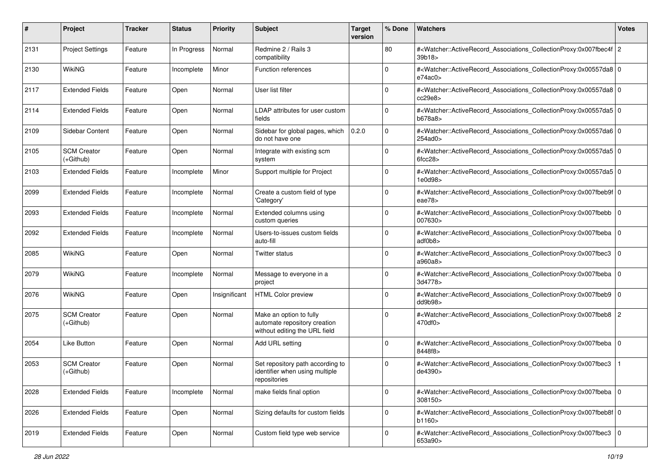| #    | Project                         | <b>Tracker</b> | <b>Status</b> | <b>Priority</b> | <b>Subject</b>                                                                           | <b>Target</b><br>version | % Done         | Watchers                                                                                                                                                                  | <b>Votes</b> |
|------|---------------------------------|----------------|---------------|-----------------|------------------------------------------------------------------------------------------|--------------------------|----------------|---------------------------------------------------------------------------------------------------------------------------------------------------------------------------|--------------|
| 2131 | <b>Project Settings</b>         | Feature        | In Progress   | Normal          | Redmine 2 / Rails 3<br>compatibility                                                     |                          | 80             | # <watcher::activerecord_associations_collectionproxy:0x007fbec4f 2<br="">39b18</watcher::activerecord_associations_collectionproxy:0x007fbec4f>                          |              |
| 2130 | WikiNG                          | Feature        | Incomplete    | Minor           | <b>Function references</b>                                                               |                          | 0              | # <watcher::activerecord_associations_collectionproxy:0x00557da8 0<br="">e74ac0&gt;</watcher::activerecord_associations_collectionproxy:0x00557da8>                       |              |
| 2117 | <b>Extended Fields</b>          | Feature        | Open          | Normal          | User list filter                                                                         |                          | 0              | # <watcher::activerecord_associations_collectionproxy:0x00557da8 0<br=""  ="">cc29e8&gt;</watcher::activerecord_associations_collectionproxy:0x00557da8>                  |              |
| 2114 | <b>Extended Fields</b>          | Feature        | Open          | Normal          | LDAP attributes for user custom<br>fields                                                |                          | 0              | # <watcher::activerecord_associations_collectionproxy:0x00557da5 0<br=""  ="">b678a8&gt;</watcher::activerecord_associations_collectionproxy:0x00557da5>                  |              |
| 2109 | Sidebar Content                 | Feature        | Open          | Normal          | Sidebar for global pages, which<br>do not have one                                       | 0.2.0                    | $\mathbf 0$    | # <watcher::activerecord_associations_collectionproxy:0x00557da6 0<br=""  ="">254ad0&gt;</watcher::activerecord_associations_collectionproxy:0x00557da6>                  |              |
| 2105 | <b>SCM Creator</b><br>(+Github) | Feature        | Open          | Normal          | Integrate with existing scm<br>system                                                    |                          | 0              | # <watcher::activerecord_associations_collectionproxy:0x00557da5 0<br=""><math>6</math>fcc<math>28</math></watcher::activerecord_associations_collectionproxy:0x00557da5> |              |
| 2103 | <b>Extended Fields</b>          | Feature        | Incomplete    | Minor           | Support multiple for Project                                                             |                          | $\mathbf 0$    | # <watcher::activerecord_associations_collectionproxy:0x00557da5 0<br=""  ="">1e0d98&gt;</watcher::activerecord_associations_collectionproxy:0x00557da5>                  |              |
| 2099 | <b>Extended Fields</b>          | Feature        | Incomplete    | Normal          | Create a custom field of type<br>'Category'                                              |                          | 0              | # <watcher::activerecord_associations_collectionproxy:0x007fbeb9f 0<br="">eae78&gt;</watcher::activerecord_associations_collectionproxy:0x007fbeb9f>                      |              |
| 2093 | <b>Extended Fields</b>          | Feature        | Incomplete    | Normal          | Extended columns using<br>custom queries                                                 |                          | $\mathbf 0$    | # <watcher::activerecord_associations_collectionproxy:0x007fbebb<br>007630&gt;</watcher::activerecord_associations_collectionproxy:0x007fbebb<br>                         | l O          |
| 2092 | Extended Fields                 | Feature        | Incomplete    | Normal          | Users-to-issues custom fields<br>auto-fill                                               |                          | 0              | # <watcher::activerecord 0<br="" associations="" collectionproxy:0x007fbeba="">adf0b8&gt;</watcher::activerecord>                                                         |              |
| 2085 | <b>WikiNG</b>                   | Feature        | Open          | Normal          | <b>Twitter status</b>                                                                    |                          | $\mathbf 0$    | # <watcher::activerecord_associations_collectionproxy:0x007fbec3<br>a960a8&gt;</watcher::activerecord_associations_collectionproxy:0x007fbec3<br>                         | $\mathbf 0$  |
| 2079 | <b>WikiNG</b>                   | Feature        | Incomplete    | Normal          | Message to everyone in a<br>project                                                      |                          | 0              | # <watcher::activerecord_associations_collectionproxy:0x007fbeba  <br="">3d4778&gt;</watcher::activerecord_associations_collectionproxy:0x007fbeba>                       | l O          |
| 2076 | WikiNG                          | Feature        | Open          | Insignificant   | <b>HTML Color preview</b>                                                                |                          | 0              | # <watcher::activerecord_associations_collectionproxy:0x007fbeb9<br>dd9b98&gt;</watcher::activerecord_associations_collectionproxy:0x007fbeb9<br>                         | l O          |
| 2075 | <b>SCM Creator</b><br>(+Github) | Feature        | Open          | Normal          | Make an option to fully<br>automate repository creation<br>without editing the URL field |                          | $\overline{0}$ | # <watcher::activerecord_associations_collectionproxy:0x007fbeb8 2<br="">470df0&gt;</watcher::activerecord_associations_collectionproxy:0x007fbeb8>                       |              |
| 2054 | Like Button                     | Feature        | Open          | Normal          | Add URL setting                                                                          |                          | 0              | # <watcher::activerecord_associations_collectionproxy:0x007fbeba<br>8448f8&gt;</watcher::activerecord_associations_collectionproxy:0x007fbeba<br>                         | $\mathbf 0$  |
| 2053 | <b>SCM Creator</b><br>(+Github) | Feature        | Open          | Normal          | Set repository path according to<br>identifier when using multiple<br>repositories       |                          | $\Omega$       | # <watcher::activerecord_associations_collectionproxy:0x007fbec3<br>de4390&gt;</watcher::activerecord_associations_collectionproxy:0x007fbec3<br>                         |              |
| 2028 | <b>Extended Fields</b>          | Feature        | Incomplete    | Normal          | make fields final option                                                                 |                          | 0              | # <watcher::activerecord_associations_collectionproxy:0x007fbeba 0<br=""  ="">308150&gt;</watcher::activerecord_associations_collectionproxy:0x007fbeba>                  |              |
| 2026 | <b>Extended Fields</b>          | Feature        | Open          | Normal          | Sizing defaults for custom fields                                                        |                          | $\mathbf 0$    | # <watcher::activerecord_associations_collectionproxy:0x007fbeb8f 0<br="">b1160&gt;</watcher::activerecord_associations_collectionproxy:0x007fbeb8f>                      |              |
| 2019 | <b>Extended Fields</b>          | Feature        | Open          | Normal          | Custom field type web service                                                            |                          | 0              | # <watcher::activerecord_associations_collectionproxy:0x007fbec3 0<br="">653a90&gt;</watcher::activerecord_associations_collectionproxy:0x007fbec3>                       |              |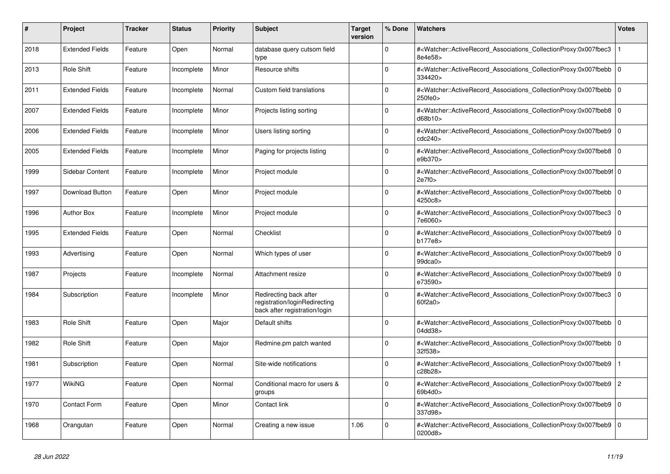| #    | Project                | <b>Tracker</b> | <b>Status</b> | <b>Priority</b> | <b>Subject</b>                                                                           | <b>Target</b><br>version | % Done      | <b>Watchers</b>                                                                                                                                     | <b>Votes</b>   |
|------|------------------------|----------------|---------------|-----------------|------------------------------------------------------------------------------------------|--------------------------|-------------|-----------------------------------------------------------------------------------------------------------------------------------------------------|----------------|
| 2018 | <b>Extended Fields</b> | Feature        | Open          | Normal          | database query cutsom field<br>type                                                      |                          | $\Omega$    | # <watcher::activerecord_associations_collectionproxy:0x007fbec3<br>8e4e58&gt;</watcher::activerecord_associations_collectionproxy:0x007fbec3<br>   |                |
| 2013 | <b>Role Shift</b>      | Feature        | Incomplete    | Minor           | Resource shifts                                                                          |                          | $\Omega$    | # <watcher::activerecord associations="" collectionproxy:0x007fbebb<br="">334420&gt;</watcher::activerecord>                                        | $\Omega$       |
| 2011 | <b>Extended Fields</b> | Feature        | Incomplete    | Normal          | Custom field translations                                                                |                          | $\Omega$    | # <watcher::activerecord 0<br="" associations="" collectionproxy:0x007fbebb=""  ="">250fe0&gt;</watcher::activerecord>                              |                |
| 2007 | <b>Extended Fields</b> | Feature        | Incomplete    | Minor           | Projects listing sorting                                                                 |                          | $\Omega$    | # <watcher::activerecord_associations_collectionproxy:0x007fbeb8<br>d68b10</watcher::activerecord_associations_collectionproxy:0x007fbeb8<br>       | $\mathbf 0$    |
| 2006 | <b>Extended Fields</b> | Feature        | Incomplete    | Minor           | Users listing sorting                                                                    |                          | $\Omega$    | # <watcher::activerecord associations="" collectionproxy:0x007fbeb9<br="">cdc240&gt;</watcher::activerecord>                                        | $\Omega$       |
| 2005 | <b>Extended Fields</b> | Feature        | Incomplete    | Minor           | Paging for projects listing                                                              |                          | $\Omega$    | # <watcher::activerecord 0<br="" associations="" collectionproxy:0x007fbeb8="">e9b370&gt;</watcher::activerecord>                                   |                |
| 1999 | Sidebar Content        | Feature        | Incomplete    | Minor           | Project module                                                                           |                          | $\Omega$    | # <watcher::activerecord 0<br="" associations="" collectionproxy:0x007fbeb9f=""  ="">2e7f0&gt;</watcher::activerecord>                              |                |
| 1997 | <b>Download Button</b> | Feature        | Open          | Minor           | Project module                                                                           |                          | $\Omega$    | # <watcher::activerecord associations="" collectionproxy:0x007fbebb=""  <br="">4250c8&gt;</watcher::activerecord>                                   | $\Omega$       |
| 1996 | <b>Author Box</b>      | Feature        | Incomplete    | Minor           | Project module                                                                           |                          | $\Omega$    | # <watcher::activerecord_associations_collectionproxy:0x007fbec3  <br="">7e6060&gt;</watcher::activerecord_associations_collectionproxy:0x007fbec3> | $\mathbf 0$    |
| 1995 | <b>Extended Fields</b> | Feature        | Open          | Normal          | Checklist                                                                                |                          | $\Omega$    | # <watcher::activerecord associations="" collectionproxy:0x007fbeb9<br="">b177e8&gt;</watcher::activerecord>                                        | $\mathbf 0$    |
| 1993 | Advertising            | Feature        | Open          | Normal          | Which types of user                                                                      |                          | $\Omega$    | # <watcher::activerecord_associations_collectionproxy:0x007fbeb9<br>99dca0</watcher::activerecord_associations_collectionproxy:0x007fbeb9<br>       | $\Omega$       |
| 1987 | Projects               | Feature        | Incomplete    | Normal          | Attachment resize                                                                        |                          | $\Omega$    | # <watcher::activerecord associations="" collectionproxy:0x007fbeb9=""  <br="">e73590&gt;</watcher::activerecord>                                   | $\mathbf 0$    |
| 1984 | Subscription           | Feature        | Incomplete    | Minor           | Redirecting back after<br>registration/loginRedirecting<br>back after registration/login |                          | $\Omega$    | # <watcher::activerecord associations="" collectionproxy:0x007fbec3<br="">60f2a0</watcher::activerecord>                                            | $\mathbf 0$    |
| 1983 | <b>Role Shift</b>      | Feature        | Open          | Major           | Default shifts                                                                           |                          | $\Omega$    | # <watcher::activerecord associations="" collectionproxy:0x007fbebb=""  <br="">04dd38&gt;</watcher::activerecord>                                   | $\mathbf{0}$   |
| 1982 | Role Shift             | Feature        | Open          | Major           | Redmine.pm patch wanted                                                                  |                          | $\mathbf 0$ | # <watcher::activerecord_associations_collectionproxy:0x007fbebb  <br="">32f538&gt;</watcher::activerecord_associations_collectionproxy:0x007fbebb> | $\mathbf 0$    |
| 1981 | Subscription           | Feature        | Open          | Normal          | Site-wide notifications                                                                  |                          | $\Omega$    | # <watcher::activerecord_associations_collectionproxy:0x007fbeb9<br>c28b28&gt;</watcher::activerecord_associations_collectionproxy:0x007fbeb9<br>   |                |
| 1977 | WikiNG                 | Feature        | Open          | Normal          | Conditional macro for users &<br>groups                                                  |                          | $\Omega$    | # <watcher::activerecord associations="" collectionproxy:0x007fbeb9=""  <br="">69b4d0&gt;</watcher::activerecord>                                   | $\overline{2}$ |
| 1970 | <b>Contact Form</b>    | Feature        | Open          | Minor           | Contact link                                                                             |                          | $\mathbf 0$ | # <watcher::activerecord_associations_collectionproxy:0x007fbeb9<br>337d98&gt;</watcher::activerecord_associations_collectionproxy:0x007fbeb9<br>   | $\mathbf 0$    |
| 1968 | Orangutan              | Feature        | Open          | Normal          | Creating a new issue                                                                     | 1.06                     | $\Omega$    | # <watcher::activerecord_associations_collectionproxy:0x007fbeb9<br>0200d8&gt;</watcher::activerecord_associations_collectionproxy:0x007fbeb9<br>   | $\Omega$       |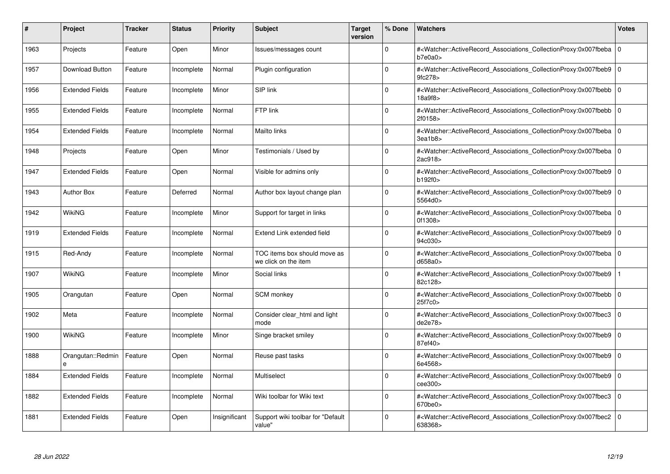| #    | Project                | <b>Tracker</b> | <b>Status</b> | <b>Priority</b> | <b>Subject</b>                                       | <b>Target</b><br>version | % Done      | <b>Watchers</b>                                                                                                                                          | <b>Votes</b> |
|------|------------------------|----------------|---------------|-----------------|------------------------------------------------------|--------------------------|-------------|----------------------------------------------------------------------------------------------------------------------------------------------------------|--------------|
| 1963 | Projects               | Feature        | Open          | Minor           | Issues/messages count                                |                          | $\Omega$    | # <watcher::activerecord_associations_collectionproxy:0x007fbeba  <br="">b7e0a0&gt;</watcher::activerecord_associations_collectionproxy:0x007fbeba>      | $\mathbf 0$  |
| 1957 | Download Button        | Feature        | Incomplete    | Normal          | Plugin configuration                                 |                          | $\Omega$    | # <watcher::activerecord associations="" collectionproxy:0x007fbeb9=""  <br="">9fc278&gt;</watcher::activerecord>                                        | $\mathbf 0$  |
| 1956 | <b>Extended Fields</b> | Feature        | Incomplete    | Minor           | SIP link                                             |                          | $\Omega$    | # <watcher::activerecord associations="" collectionproxy:0x007fbebb<br="">18a9f8</watcher::activerecord>                                                 | $\mathbf 0$  |
| 1955 | <b>Extended Fields</b> | Feature        | Incomplete    | Normal          | FTP link                                             |                          | $\Omega$    | # <watcher::activerecord_associations_collectionproxy:0x007fbebb  <br="">2f0158&gt;</watcher::activerecord_associations_collectionproxy:0x007fbebb>      | $\Omega$     |
| 1954 | <b>Extended Fields</b> | Feature        | Incomplete    | Normal          | Mailto links                                         |                          | $\Omega$    | # <watcher::activerecord associations="" collectionproxy:0x007fbeba<br="">3ea1b8</watcher::activerecord>                                                 | $\mathbf 0$  |
| 1948 | Projects               | Feature        | Open          | Minor           | Testimonials / Used by                               |                          | $\Omega$    | # <watcher::activerecord 0<br="" associations="" collectionproxy:0x007fbeba=""  ="">2ac918&gt;</watcher::activerecord>                                   |              |
| 1947 | <b>Extended Fields</b> | Feature        | Open          | Normal          | Visible for admins only                              |                          | $\Omega$    | # <watcher::activerecord_associations_collectionproxy:0x007fbeb9  <br="">b192f0</watcher::activerecord_associations_collectionproxy:0x007fbeb9>          | $\mathbf 0$  |
| 1943 | <b>Author Box</b>      | Feature        | Deferred      | Normal          | Author box layout change plan                        |                          | $\Omega$    | # <watcher::activerecord_associations_collectionproxy:0x007fbeb9  <br="">5564d0&gt;</watcher::activerecord_associations_collectionproxy:0x007fbeb9>      | $\Omega$     |
| 1942 | <b>WikiNG</b>          | Feature        | Incomplete    | Minor           | Support for target in links                          |                          | $\Omega$    | # <watcher::activerecord associations="" collectionproxy:0x007fbeba=""  <br="">0f1308&gt;</watcher::activerecord>                                        | $\mathbf 0$  |
| 1919 | <b>Extended Fields</b> | Feature        | Incomplete    | Normal          | Extend Link extended field                           |                          | $\Omega$    | # <watcher::activerecord associations="" collectionproxy:0x007fbeb9<br="">94c030&gt;</watcher::activerecord>                                             | $\mathbf 0$  |
| 1915 | Red-Andy               | Feature        | Incomplete    | Normal          | TOC items box should move as<br>we click on the item |                          | $\Omega$    | # <watcher::activerecord_associations_collectionproxy:0x007fbeba 0<br=""  ="">d658a0&gt;</watcher::activerecord_associations_collectionproxy:0x007fbeba> |              |
| 1907 | <b>WikiNG</b>          | Feature        | Incomplete    | Minor           | Social links                                         |                          | $\Omega$    | # <watcher::activerecord_associations_collectionproxy:0x007fbeb9<br>82c128&gt;</watcher::activerecord_associations_collectionproxy:0x007fbeb9<br>        |              |
| 1905 | Orangutan              | Feature        | Open          | Normal          | SCM monkey                                           |                          | $\Omega$    | # <watcher::activerecord associations="" collectionproxy:0x007fbebb=""  <br="">25f7c0&gt;</watcher::activerecord>                                        | $\mathbf 0$  |
| 1902 | Meta                   | Feature        | Incomplete    | Normal          | Consider clear_html and light<br>mode                |                          | $\mathbf 0$ | # <watcher::activerecord_associations_collectionproxy:0x007fbec3<br>de2e78</watcher::activerecord_associations_collectionproxy:0x007fbec3<br>            | $\mathbf 0$  |
| 1900 | <b>WikiNG</b>          | Feature        | Incomplete    | Minor           | Singe bracket smiley                                 |                          | $\Omega$    | # <watcher::activerecord_associations_collectionproxy:0x007fbeb9  <br="">87ef40&gt;</watcher::activerecord_associations_collectionproxy:0x007fbeb9>      | $\mathbf 0$  |
| 1888 | Orangutan::Redmin<br>e | Feature        | Open          | Normal          | Reuse past tasks                                     |                          | $\Omega$    | # <watcher::activerecord associations="" collectionproxy:0x007fbeb9<br="">6e4568&gt;</watcher::activerecord>                                             | $\mathbf 0$  |
| 1884 | <b>Extended Fields</b> | Feature        | Incomplete    | Normal          | Multiselect                                          |                          | $\Omega$    | # <watcher::activerecord associations="" collectionproxy:0x007fbeb9=""  <br="">cee300&gt;</watcher::activerecord>                                        | $\mathbf 0$  |
| 1882 | <b>Extended Fields</b> | Feature        | Incomplete    | Normal          | Wiki toolbar for Wiki text                           |                          | $\Omega$    | # <watcher::activerecord associations="" collectionproxy:0x007fbec3<br="">670be0&gt;</watcher::activerecord>                                             | $\mathbf 0$  |
| 1881 | <b>Extended Fields</b> | Feature        | Open          | Insignificant   | Support wiki toolbar for "Default<br>value"          |                          | $\Omega$    | # <watcher::activerecord_associations_collectionproxy:0x007fbec2 0<br=""  ="">638368&gt;</watcher::activerecord_associations_collectionproxy:0x007fbec2> |              |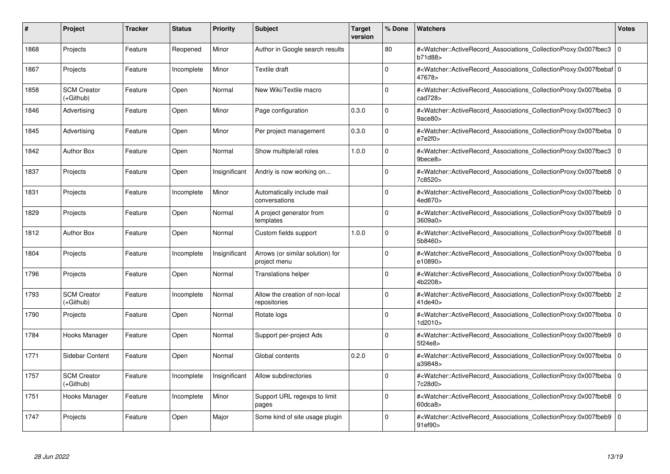| #    | Project                           | Tracker | <b>Status</b> | <b>Priority</b> | <b>Subject</b>                                   | <b>Target</b><br>version | % Done   | <b>Watchers</b>                                                                                                                                          | <b>Votes</b>   |
|------|-----------------------------------|---------|---------------|-----------------|--------------------------------------------------|--------------------------|----------|----------------------------------------------------------------------------------------------------------------------------------------------------------|----------------|
| 1868 | Projects                          | Feature | Reopened      | Minor           | Author in Google search results                  |                          | 80       | # <watcher::activerecord associations="" collectionproxy:0x007fbec3<br="">b71d88&gt;</watcher::activerecord>                                             | $\mathbf 0$    |
| 1867 | Projects                          | Feature | Incomplete    | Minor           | Textile draft                                    |                          | $\Omega$ | # <watcher::activerecord 0<br="" associations="" collectionproxy:0x007fbebaf=""  ="">47678&gt;</watcher::activerecord>                                   |                |
| 1858 | <b>SCM Creator</b><br>(+Github)   | Feature | Open          | Normal          | New Wiki/Textile macro                           |                          | $\Omega$ | # <watcher::activerecord_associations_collectionproxy:0x007fbeba<br>cad728&gt;</watcher::activerecord_associations_collectionproxy:0x007fbeba<br>        | $\Omega$       |
| 1846 | Advertising                       | Feature | Open          | Minor           | Page configuration                               | 0.3.0                    | $\Omega$ | # <watcher::activerecord_associations_collectionproxy:0x007fbec3 0<br="">9ace80&gt;</watcher::activerecord_associations_collectionproxy:0x007fbec3>      |                |
| 1845 | Advertising                       | Feature | Open          | Minor           | Per project management                           | 0.3.0                    | $\Omega$ | # <watcher::activerecord_associations_collectionproxy:0x007fbeba  <br="">e7e2f0</watcher::activerecord_associations_collectionproxy:0x007fbeba>          | $\mathbf 0$    |
| 1842 | <b>Author Box</b>                 | Feature | Open          | Normal          | Show multiple/all roles                          | 1.0.0                    | $\Omega$ | # <watcher::activerecord_associations_collectionproxy:0x007fbec3 0<br="">9bece8&gt;</watcher::activerecord_associations_collectionproxy:0x007fbec3>      |                |
| 1837 | Projects                          | Feature | Open          | Insignificant   | Andriy is now working on                         |                          | $\Omega$ | # <watcher::activerecord associations="" collectionproxy:0x007fbeb8<br="">7c8520&gt;</watcher::activerecord>                                             | $\mathbf 0$    |
| 1831 | Projects                          | Feature | Incomplete    | Minor           | Automatically include mail<br>conversations      |                          | $\Omega$ | # <watcher::activerecord_associations_collectionproxy:0x007fbebb  <br="">4ed870&gt;</watcher::activerecord_associations_collectionproxy:0x007fbebb>      | $\mathbf 0$    |
| 1829 | Projects                          | Feature | Open          | Normal          | A project generator from<br>templates            |                          | $\Omega$ | # <watcher::activerecord associations="" collectionproxy:0x007fbeb9<br="">3609a0&gt;</watcher::activerecord>                                             | $\mathbf 0$    |
| 1812 | <b>Author Box</b>                 | Feature | Open          | Normal          | Custom fields support                            | 1.0.0                    | $\Omega$ | # <watcher::activerecord associations="" collectionproxy:0x007fbeb8<br="">5b8460&gt;</watcher::activerecord>                                             | $\mathbf 0$    |
| 1804 | Projects                          | Feature | Incomplete    | Insignificant   | Arrows (or similar solution) for<br>project menu |                          | $\Omega$ | # <watcher::activerecord_associations_collectionproxy:0x007fbeba 0<br=""  ="">e10890&gt;</watcher::activerecord_associations_collectionproxy:0x007fbeba> |                |
| 1796 | Projects                          | Feature | Open          | Normal          | <b>Translations helper</b>                       |                          | $\Omega$ | # <watcher::activerecord 0<br="" associations="" collectionproxy:0x007fbeba=""  ="">4b2208&gt;</watcher::activerecord>                                   |                |
| 1793 | <b>SCM Creator</b><br>$(+Github)$ | Feature | Incomplete    | Normal          | Allow the creation of non-local<br>repositories  |                          | $\Omega$ | # <watcher::activerecord associations="" collectionproxy:0x007fbebb<br="">41de40&gt;</watcher::activerecord>                                             | $\overline{c}$ |
| 1790 | Projects                          | Feature | Open          | Normal          | Rotate logs                                      |                          | $\Omega$ | # <watcher::activerecord_associations_collectionproxy:0x007fbeba 0<br=""  ="">1d2010&gt;</watcher::activerecord_associations_collectionproxy:0x007fbeba> |                |
| 1784 | Hooks Manager                     | Feature | Open          | Normal          | Support per-project Ads                          |                          | $\Omega$ | # <watcher::activerecord 0<br="" associations="" collectionproxy:0x007fbeb9=""  ="">5f24e8&gt;</watcher::activerecord>                                   |                |
| 1771 | Sidebar Content                   | Feature | Open          | Normal          | Global contents                                  | 0.2.0                    | $\Omega$ | # <watcher::activerecord_associations_collectionproxy:0x007fbeba 0<br=""  ="">a39848&gt;</watcher::activerecord_associations_collectionproxy:0x007fbeba> |                |
| 1757 | <b>SCM Creator</b><br>(+Github)   | Feature | Incomplete    | Insignificant   | Allow subdirectories                             |                          | $\Omega$ | # <watcher::activerecord_associations_collectionproxy:0x007fbeba  <br="">7c28d0&gt;</watcher::activerecord_associations_collectionproxy:0x007fbeba>      | $\mathbf 0$    |
| 1751 | Hooks Manager                     | Feature | Incomplete    | Minor           | Support URL regexps to limit<br>pages            |                          | $\Omega$ | # <watcher::activerecord associations="" collectionproxy:0x007fbeb8=""  <br="">60dca8</watcher::activerecord>                                            | $\mathbf 0$    |
| 1747 | Projects                          | Feature | Open          | Major           | Some kind of site usage plugin                   |                          | $\Omega$ | # <watcher::activerecord associations="" collectionproxy:0x007fbeb9=""  <br="">91ef90&gt;</watcher::activerecord>                                        | $\mathbf 0$    |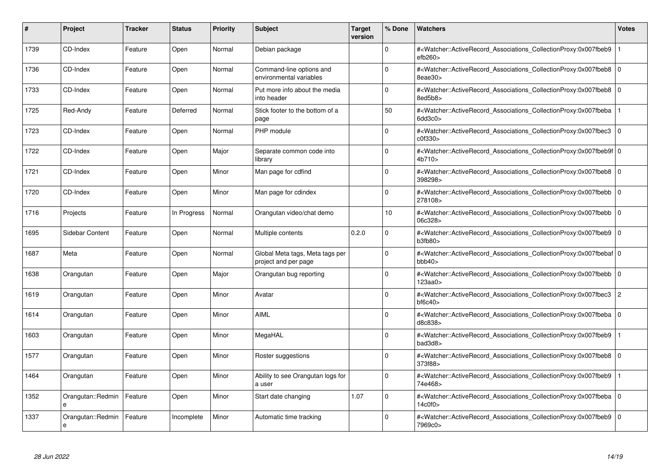| #    | Project                | <b>Tracker</b> | <b>Status</b> | <b>Priority</b> | <b>Subject</b>                                          | <b>Target</b><br>version | % Done      | <b>Watchers</b>                                                                                                                                                         | <b>Votes</b>   |
|------|------------------------|----------------|---------------|-----------------|---------------------------------------------------------|--------------------------|-------------|-------------------------------------------------------------------------------------------------------------------------------------------------------------------------|----------------|
| 1739 | CD-Index               | Feature        | Open          | Normal          | Debian package                                          |                          | $\Omega$    | # <watcher::activerecord_associations_collectionproxy:0x007fbeb9<br>efb260</watcher::activerecord_associations_collectionproxy:0x007fbeb9<br>                           |                |
| 1736 | CD-Index               | Feature        | Open          | Normal          | Command-line options and<br>environmental variables     |                          | $\Omega$    | # <watcher::activerecord 0<br="" associations="" collectionproxy:0x007fbeb8=""  ="">8eae30&gt;</watcher::activerecord>                                                  |                |
| 1733 | CD-Index               | Feature        | Open          | Normal          | Put more info about the media<br>into header            |                          | $\mathbf 0$ | # <watcher::activerecord associations="" collectionproxy:0x007fbeb8<br="">8ed5b8&gt;</watcher::activerecord>                                                            | $\mathbf 0$    |
| 1725 | Red-Andy               | Feature        | Deferred      | Normal          | Stick footer to the bottom of a<br>page                 |                          | 50          | # <watcher::activerecord_associations_collectionproxy:0x007fbeba<br><math>6</math>dd<math>3c0</math></watcher::activerecord_associations_collectionproxy:0x007fbeba<br> |                |
| 1723 | CD-Index               | Feature        | Open          | Normal          | PHP module                                              |                          | $\Omega$    | # <watcher::activerecord associations="" collectionproxy:0x007fbec3<br="">c0f330</watcher::activerecord>                                                                | $\mathbf 0$    |
| 1722 | CD-Index               | Feature        | Open          | Major           | Separate common code into<br>library                    |                          | $\Omega$    | # <watcher::activerecord 0<br="" associations="" collectionproxy:0x007fbeb9f=""  ="">4b710</watcher::activerecord>                                                      |                |
| 1721 | CD-Index               | Feature        | Open          | Minor           | Man page for cdfind                                     |                          | $\Omega$    | # <watcher::activerecord_associations_collectionproxy:0x007fbeb8 0<br=""  ="">398298&gt;</watcher::activerecord_associations_collectionproxy:0x007fbeb8>                |                |
| 1720 | CD-Index               | Feature        | Open          | Minor           | Man page for cdindex                                    |                          | $\Omega$    | # <watcher::activerecord_associations_collectionproxy:0x007fbebb  <br="">278108&gt;</watcher::activerecord_associations_collectionproxy:0x007fbebb>                     | $\Omega$       |
| 1716 | Projects               | Feature        | In Progress   | Normal          | Orangutan video/chat demo                               |                          | 10          | # <watcher::activerecord associations="" collectionproxy:0x007fbebb=""  <br="">06c328&gt;</watcher::activerecord>                                                       | $\mathbf 0$    |
| 1695 | Sidebar Content        | Feature        | Open          | Normal          | Multiple contents                                       | 0.2.0                    | $\mathbf 0$ | # <watcher::activerecord associations="" collectionproxy:0x007fbeb9<br="">b3fb80</watcher::activerecord>                                                                | $\mathbf 0$    |
| 1687 | Meta                   | Feature        | Open          | Normal          | Global Meta tags, Meta tags per<br>project and per page |                          | $\Omega$    | # <watcher::activerecord_associations_collectionproxy:0x007fbebaf 0<br=""  ="">bbb40&gt;</watcher::activerecord_associations_collectionproxy:0x007fbebaf>               |                |
| 1638 | Orangutan              | Feature        | Open          | Major           | Orangutan bug reporting                                 |                          | $\Omega$    | # <watcher::activerecord_associations_collectionproxy:0x007fbebb<br>123aa0&gt;</watcher::activerecord_associations_collectionproxy:0x007fbebb<br>                       | $\mathbf 0$    |
| 1619 | Orangutan              | Feature        | Open          | Minor           | Avatar                                                  |                          | $\mathbf 0$ | # <watcher::activerecord associations="" collectionproxy:0x007fbec3<br=""><math>b</math>f6c40<math>&gt;</math></watcher::activerecord>                                  | $\overline{c}$ |
| 1614 | Orangutan              | Feature        | Open          | Minor           | <b>AIML</b>                                             |                          | $\Omega$    | # <watcher::activerecord associations="" collectionproxy:0x007fbeba<br="">d8c838&gt;</watcher::activerecord>                                                            | $\mathbf 0$    |
| 1603 | Orangutan              | Feature        | Open          | Minor           | MegaHAL                                                 |                          | $\Omega$    | # <watcher::activerecord_associations_collectionproxy:0x007fbeb9<br>bad3d8&gt;</watcher::activerecord_associations_collectionproxy:0x007fbeb9<br>                       |                |
| 1577 | Orangutan              | Feature        | Open          | Minor           | Roster suggestions                                      |                          | $\Omega$    | # <watcher::activerecord associations="" collectionproxy:0x007fbeb8<br="">373f88&gt;</watcher::activerecord>                                                            | $\mathbf 0$    |
| 1464 | Orangutan              | Feature        | Open          | Minor           | Ability to see Orangutan logs for<br>a user             |                          | $\Omega$    | # <watcher::activerecord associations="" collectionproxy:0x007fbeb9<br="">74e468&gt;</watcher::activerecord>                                                            |                |
| 1352 | Orangutan::Redmin<br>e | Feature        | Open          | Minor           | Start date changing                                     | 1.07                     | $\mathbf 0$ | # <watcher::activerecord associations="" collectionproxy:0x007fbeba<br="">14c0f0&gt;</watcher::activerecord>                                                            | $\mathbf 0$    |
| 1337 | Orangutan::Redmin<br>e | Feature        | Incomplete    | Minor           | Automatic time tracking                                 |                          | $\Omega$    | # <watcher::activerecord_associations_collectionproxy:0x007fbeb9 0<br=""  ="">7969c0&gt;</watcher::activerecord_associations_collectionproxy:0x007fbeb9>                |                |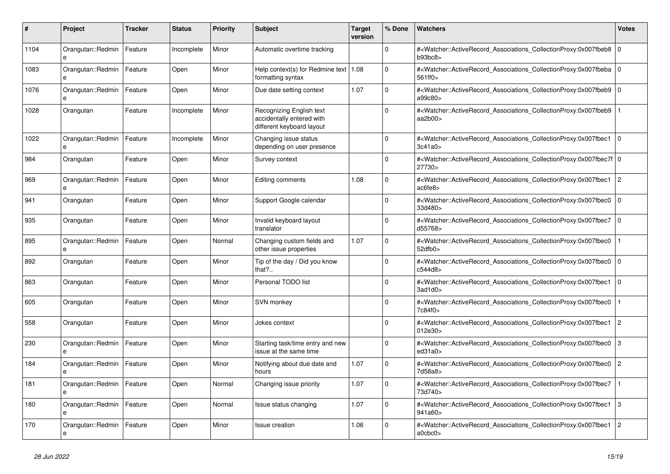| #    | <b>Project</b>                    | Tracker | <b>Status</b> | <b>Priority</b> | <b>Subject</b>                                                                     | <b>Target</b><br>version | % Done      | <b>Watchers</b>                                                                                                                                          | <b>Votes</b>   |
|------|-----------------------------------|---------|---------------|-----------------|------------------------------------------------------------------------------------|--------------------------|-------------|----------------------------------------------------------------------------------------------------------------------------------------------------------|----------------|
| 1104 | Orangutan::Redmin<br>e            | Feature | Incomplete    | Minor           | Automatic overtime tracking                                                        |                          | $\Omega$    | # <watcher::activerecord_associations_collectionproxy:0x007fbeb8<br>b93bc8</watcher::activerecord_associations_collectionproxy:0x007fbeb8<br>            | $\overline{0}$ |
| 1083 | Orangutan::Redmin<br>e            | Feature | Open          | Minor           | Help context(s) for Redmine text   1.08<br>formatting syntax                       |                          | $\Omega$    | # <watcher::activerecord_associations_collectionproxy:0x007fbeba 0<br="">561ff0&gt;</watcher::activerecord_associations_collectionproxy:0x007fbeba>      |                |
| 1076 | Orangutan::Redmin<br>$\mathbf{a}$ | Feature | Open          | Minor           | Due date setting context                                                           | 1.07                     | $\mathbf 0$ | # <watcher::activerecord_associations_collectionproxy:0x007fbeb9 0<br=""  ="">a99c80&gt;</watcher::activerecord_associations_collectionproxy:0x007fbeb9> |                |
| 1028 | Orangutan                         | Feature | Incomplete    | Minor           | Recognizing English text<br>accidentally entered with<br>different keyboard layout |                          | $\Omega$    | # <watcher::activerecord_associations_collectionproxy:0x007fbeb9<br>aa2b00&gt;</watcher::activerecord_associations_collectionproxy:0x007fbeb9<br>        |                |
| 1022 | Orangutan::Redmin<br>e            | Feature | Incomplete    | Minor           | Changing issue status<br>depending on user presence                                |                          | $\Omega$    | # <watcher::activerecord_associations_collectionproxy:0x007fbec1<br>3c41a0</watcher::activerecord_associations_collectionproxy:0x007fbec1<br>            | $\overline{0}$ |
| 984  | Orangutan                         | Feature | Open          | Minor           | Survey context                                                                     |                          | $\Omega$    | # <watcher::activerecord 0<br="" associations="" collectionproxy:0x007fbec7f=""  ="">27730&gt;</watcher::activerecord>                                   |                |
| 969  | Orangutan::Redmin<br>e            | Feature | Open          | Minor           | Editing comments                                                                   | 1.08                     | $\Omega$    | # <watcher::activerecord associations="" collectionproxy:0x007fbec1<br="">ac6fe8&gt;</watcher::activerecord>                                             | $\overline{2}$ |
| 941  | Orangutan                         | Feature | Open          | Minor           | Support Google calendar                                                            |                          | $\Omega$    | # <watcher::activerecord_associations_collectionproxy:0x007fbec0<br>33d480&gt;</watcher::activerecord_associations_collectionproxy:0x007fbec0<br>        | $\mathbf{0}$   |
| 935  | Orangutan                         | Feature | Open          | Minor           | Invalid keyboard layout<br>translator                                              |                          | $\Omega$    | # <watcher::activerecord_associations_collectionproxy:0x007fbec7<br>d55768&gt;</watcher::activerecord_associations_collectionproxy:0x007fbec7<br>        | $\overline{0}$ |
| 895  | Orangutan::Redmin                 | Feature | Open          | Normal          | Changing custom fields and<br>other issue properties                               | 1.07                     | $\mathbf 0$ | # <watcher::activerecord_associations_collectionproxy:0x007fbec0<br>52dfb0</watcher::activerecord_associations_collectionproxy:0x007fbec0<br>            |                |
| 892  | Orangutan                         | Feature | Open          | Minor           | Tip of the day / Did you know<br>that?                                             |                          | $\Omega$    | # <watcher::activerecord associations="" collectionproxy:0x007fbec0<br="">c544d8</watcher::activerecord>                                                 | $\overline{0}$ |
| 863  | Orangutan                         | Feature | Open          | Minor           | Personal TODO list                                                                 |                          | $\Omega$    | # <watcher::activerecord associations="" collectionproxy:0x007fbec1<br="">3ad1d0&gt;</watcher::activerecord>                                             | $\overline{0}$ |
| 605  | Orangutan                         | Feature | Open          | Minor           | SVN monkey                                                                         |                          | $\Omega$    | # <watcher::activerecord associations="" collectionproxy:0x007fbec0<br="">7c84f0&gt;</watcher::activerecord>                                             |                |
| 558  | Orangutan                         | Feature | Open          | Minor           | Jokes context                                                                      |                          | $\Omega$    | # <watcher::activerecord_associations_collectionproxy:0x007fbec1<br>012e30&gt;</watcher::activerecord_associations_collectionproxy:0x007fbec1<br>        | $\overline{2}$ |
| 230  | Orangutan::Redmin<br>e            | Feature | Open          | Minor           | Starting task/time entry and new<br>issue at the same time                         |                          | $\Omega$    | # <watcher::activerecord associations="" collectionproxy:0x007fbec0<br="">ed31a0</watcher::activerecord>                                                 | 3              |
| 184  | Orangutan::Redmin<br>e            | Feature | Open          | Minor           | Notifying about due date and<br>hours                                              | 1.07                     | $\mathbf 0$ | # <watcher::activerecord associations="" collectionproxy:0x007fbec0<br="">7d58a8&gt;</watcher::activerecord>                                             | $\overline{2}$ |
| 181  | Orangutan::Redmin                 | Feature | Open          | Normal          | Changing issue priority                                                            | 1.07                     | $\Omega$    | # <watcher::activerecord_associations_collectionproxy:0x007fbec7<br>73d740&gt;</watcher::activerecord_associations_collectionproxy:0x007fbec7<br>        |                |
| 180  | Orangutan::Redmin<br>e            | Feature | Open          | Normal          | Issue status changing                                                              | 1.07                     | $\Omega$    | # <watcher::activerecord_associations_collectionproxy:0x007fbec1<br>941a60&gt;</watcher::activerecord_associations_collectionproxy:0x007fbec1<br>        | Iз             |
| 170  | Orangutan::Redmin<br>e            | Feature | Open          | Minor           | <b>Issue creation</b>                                                              | 1.06                     | $\Omega$    | # <watcher::activerecord associations="" collectionproxy:0x007fbec1<br="">a0cbc0&gt;</watcher::activerecord>                                             | $\overline{2}$ |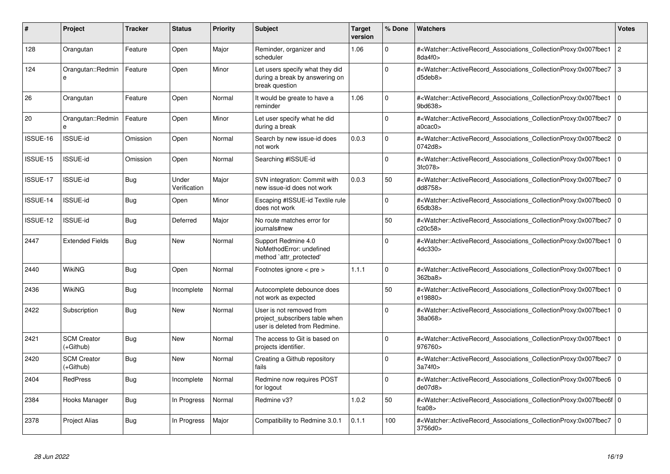| #        | <b>Project</b>                  | <b>Tracker</b> | <b>Status</b>         | <b>Priority</b> | <b>Subject</b>                                                                              | <b>Target</b><br>version | % Done       | <b>Watchers</b>                                                                                                                                                    | <b>Votes</b>   |
|----------|---------------------------------|----------------|-----------------------|-----------------|---------------------------------------------------------------------------------------------|--------------------------|--------------|--------------------------------------------------------------------------------------------------------------------------------------------------------------------|----------------|
| 128      | Orangutan                       | Feature        | Open                  | Major           | Reminder, organizer and<br>scheduler                                                        | 1.06                     | $\Omega$     | # <watcher::activerecord associations="" collectionproxy:0x007fbec1<br="">8da4f0&gt;</watcher::activerecord>                                                       | $\overline{2}$ |
| 124      | Orangutan::Redmin<br>e          | Feature        | Open                  | Minor           | Let users specify what they did<br>during a break by answering on<br>break question         |                          | $\Omega$     | # <watcher::activerecord associations="" collectionproxy:0x007fbec7<br="">d5deb8&gt;</watcher::activerecord>                                                       | Iз             |
| 26       | Orangutan                       | Feature        | Open                  | Normal          | It would be greate to have a<br>reminder                                                    | 1.06                     | $\mathbf{0}$ | # <watcher::activerecord associations="" collectionproxy:0x007fbec1<br="">9bd638&gt;</watcher::activerecord>                                                       | ١o             |
| 20       | Orangutan::Redmin<br>e          | Feature        | Open                  | Minor           | Let user specify what he did<br>during a break                                              |                          | $\mathbf 0$  | # <watcher::activerecord associations="" collectionproxy:0x007fbec7<br="">a0cac0</watcher::activerecord>                                                           | l o            |
| ISSUE-16 | <b>ISSUE-id</b>                 | Omission       | Open                  | Normal          | Search by new issue-id does<br>not work                                                     | 0.0.3                    | $\Omega$     | # <watcher::activerecord_associations_collectionproxy:0x007fbec2 0<br="">0742d8&gt;</watcher::activerecord_associations_collectionproxy:0x007fbec2>                |                |
| ISSUE-15 | <b>ISSUE-id</b>                 | Omission       | Open                  | Normal          | Searching #ISSUE-id                                                                         |                          | $\mathbf{0}$ | # <watcher::activerecord associations="" collectionproxy:0x007fbec1<br="">3fc078&gt;</watcher::activerecord>                                                       | l o            |
| ISSUE-17 | <b>ISSUE-id</b>                 | Bug            | Under<br>Verification | Major           | SVN integration: Commit with<br>new issue-id does not work                                  | 0.0.3                    | 50           | # <watcher::activerecord associations="" collectionproxy:0x007fbec7<br="">dd8758&gt;</watcher::activerecord>                                                       | l o            |
| ISSUE-14 | <b>ISSUE-id</b>                 | Bug            | Open                  | Minor           | Escaping #ISSUE-id Textile rule<br>does not work                                            |                          | $\Omega$     | # <watcher::activerecord associations="" collectionproxy:0x007fbec0<br="">65db38&gt;</watcher::activerecord>                                                       | $\overline{0}$ |
| ISSUE-12 | <b>ISSUE-id</b>                 | Bug            | Deferred              | Major           | No route matches error for<br>journals#new                                                  |                          | 50           | # <watcher::activerecord_associations_collectionproxy:0x007fbec7<br>c20c58&gt;</watcher::activerecord_associations_collectionproxy:0x007fbec7<br>                  | $\overline{0}$ |
| 2447     | <b>Extended Fields</b>          | Bug            | <b>New</b>            | Normal          | Support Redmine 4.0<br>NoMethodError: undefined<br>method `attr_protected'                  |                          | 0            | # <watcher::activerecord_associations_collectionproxy:0x007fbec1<br>4dc330&gt;</watcher::activerecord_associations_collectionproxy:0x007fbec1<br>                  | l 0            |
| 2440     | WikiNG                          | Bug            | Open                  | Normal          | Footnotes ignore $\lt$ pre $\gt$                                                            | 1.1.1                    | $\Omega$     | # <watcher::activerecord associations="" collectionproxy:0x007fbec1<br="">362ba8&gt;</watcher::activerecord>                                                       | $\overline{0}$ |
| 2436     | <b>WikiNG</b>                   | Bug            | Incomplete            | Normal          | Autocomplete debounce does<br>not work as expected                                          |                          | 50           | # <watcher::activerecord associations="" collectionproxy:0x007fbec1<br="">e19880&gt;</watcher::activerecord>                                                       | l o            |
| 2422     | Subscription                    | Bug            | New                   | Normal          | User is not removed from<br>project subscribers table when<br>user is deleted from Redmine. |                          | 0            | # <watcher::activerecord_associations_collectionproxy:0x007fbec1<br>38a068&gt;</watcher::activerecord_associations_collectionproxy:0x007fbec1<br>                  | l o            |
| 2421     | <b>SCM Creator</b><br>(+Github) | <b>Bug</b>     | <b>New</b>            | Normal          | The access to Git is based on<br>projects identifier.                                       |                          | $\mathbf 0$  | # <watcher::activerecord associations="" collectionproxy:0x007fbec1<br="">976760&gt;</watcher::activerecord>                                                       | $\overline{0}$ |
| 2420     | <b>SCM Creator</b><br>(+Github) | Bug            | New                   | Normal          | Creating a Github repository<br>fails                                                       |                          | $\Omega$     | # <watcher::activerecord associations="" collectionproxy:0x007fbec7<br="">3a74f0&gt;</watcher::activerecord>                                                       | $\overline{0}$ |
| 2404     | <b>RedPress</b>                 | Bug            | Incomplete            | Normal          | Redmine now requires POST<br>for logout                                                     |                          | $\Omega$     | # <watcher::activerecord_associations_collectionproxy:0x007fbec6 0<br=""  ="">de07d8</watcher::activerecord_associations_collectionproxy:0x007fbec6>               |                |
| 2384     | Hooks Manager                   | Bug            | In Progress           | Normal          | Redmine v3?                                                                                 | 1.0.2                    | 50           | # <watcher::activerecord_associations_collectionproxy:0x007fbec6f 0<br=""  ="">fca<math>08</math></watcher::activerecord_associations_collectionproxy:0x007fbec6f> |                |
| 2378     | Project Alias                   | Bug            | In Progress           | Major           | Compatibility to Redmine 3.0.1                                                              | 0.1.1                    | 100          | # <watcher::activerecord_associations_collectionproxy:0x007fbec7 0<br=""  ="">3756d0&gt;</watcher::activerecord_associations_collectionproxy:0x007fbec7>           |                |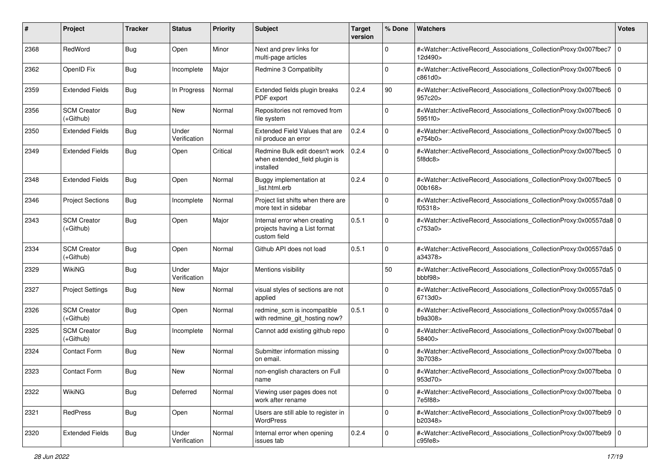| #    | Project                           | <b>Tracker</b> | <b>Status</b>         | <b>Priority</b> | <b>Subject</b>                                                                | <b>Target</b><br>version | % Done      | Watchers                                                                                                                                                  | <b>Votes</b> |
|------|-----------------------------------|----------------|-----------------------|-----------------|-------------------------------------------------------------------------------|--------------------------|-------------|-----------------------------------------------------------------------------------------------------------------------------------------------------------|--------------|
| 2368 | RedWord                           | <b>Bug</b>     | Open                  | Minor           | Next and prev links for<br>multi-page articles                                |                          | $\mathbf 0$ | # <watcher::activerecord associations="" collectionproxy:0x007fbec7<br="">12d490&gt;</watcher::activerecord>                                              | 0            |
| 2362 | OpenID Fix                        | <b>Bug</b>     | Incomplete            | Major           | Redmine 3 Compatibilty                                                        |                          | $\Omega$    | # <watcher::activerecord_associations_collectionproxy:0x007fbec6<br>c861d0&gt;</watcher::activerecord_associations_collectionproxy:0x007fbec6<br>         | l O          |
| 2359 | <b>Extended Fields</b>            | <b>Bug</b>     | In Progress           | Normal          | Extended fields plugin breaks<br>PDF export                                   | 0.2.4                    | 90          | # <watcher::activerecord_associations_collectionproxy:0x007fbec6<br>957c20&gt;</watcher::activerecord_associations_collectionproxy:0x007fbec6<br>         | l O          |
| 2356 | <b>SCM Creator</b><br>$(+Github)$ | <b>Bug</b>     | <b>New</b>            | Normal          | Repositories not removed from<br>file system                                  |                          | $\mathbf 0$ | # <watcher::activerecord_associations_collectionproxy:0x007fbec6<br>5951f0&gt;</watcher::activerecord_associations_collectionproxy:0x007fbec6<br>         | l O          |
| 2350 | <b>Extended Fields</b>            | <b>Bug</b>     | Under<br>Verification | Normal          | Extended Field Values that are<br>nil produce an error                        | 0.2.4                    | $\mathbf 0$ | # <watcher::activerecord_associations_collectionproxy:0x007fbec5<br>e754b0&gt;</watcher::activerecord_associations_collectionproxy:0x007fbec5<br>         | l O          |
| 2349 | <b>Extended Fields</b>            | <b>Bug</b>     | Open                  | Critical        | Redmine Bulk edit doesn't work<br>when extended field plugin is<br>installed  | 0.2.4                    | $\Omega$    | # <watcher::activerecord_associations_collectionproxy:0x007fbec5 0<br="">5f8dc8&gt;</watcher::activerecord_associations_collectionproxy:0x007fbec5>       |              |
| 2348 | <b>Extended Fields</b>            | <b>Bug</b>     | Open                  | Normal          | Buggy implementation at<br>list.html.erb                                      | 0.2.4                    | $\Omega$    | # <watcher::activerecord_associations_collectionproxy:0x007fbec5<br>00b168&gt;</watcher::activerecord_associations_collectionproxy:0x007fbec5<br>         | l O          |
| 2346 | <b>Project Sections</b>           | <b>Bug</b>     | Incomplete            | Normal          | Project list shifts when there are<br>more text in sidebar                    |                          | $\Omega$    | # <watcher::activerecord_associations_collectionproxy:0x00557da8 0<br=""  ="">f05318&gt;</watcher::activerecord_associations_collectionproxy:0x00557da8>  |              |
| 2343 | <b>SCM Creator</b><br>$(+Github)$ | <b>Bug</b>     | Open                  | Major           | Internal error when creating<br>projects having a List format<br>custom field | 0.5.1                    | $\Omega$    | # <watcher::activerecord_associations_collectionproxy:0x00557da8 0<br="">c753a0&gt;</watcher::activerecord_associations_collectionproxy:0x00557da8>       |              |
| 2334 | <b>SCM Creator</b><br>$(+Github)$ | <b>Bug</b>     | Open                  | Normal          | Github API does not load                                                      | 0.5.1                    | $\mathbf 0$ | # <watcher::activerecord_associations_collectionproxy:0x00557da5 0<br="">a34378&gt;</watcher::activerecord_associations_collectionproxy:0x00557da5>       |              |
| 2329 | WikiNG                            | <b>Bug</b>     | Under<br>Verification | Major           | Mentions visibility                                                           |                          | 50          | # <watcher::activerecord_associations_collectionproxy:0x00557da5 0<br="">bbb698</watcher::activerecord_associations_collectionproxy:0x00557da5>           |              |
| 2327 | <b>Project Settings</b>           | <b>Bug</b>     | New                   | Normal          | visual styles of sections are not<br>applied                                  |                          | $\Omega$    | # <watcher::activerecord_associations_collectionproxy:0x00557da5 0<br="">6713d0&gt;</watcher::activerecord_associations_collectionproxy:0x00557da5>       |              |
| 2326 | <b>SCM Creator</b><br>$(+Github)$ | <b>Bug</b>     | Open                  | Normal          | redmine_scm is incompatible<br>with redmine_git_hosting now?                  | 0.5.1                    | $\mathbf 0$ | # <watcher::activerecord_associations_collectionproxy:0x00557da4 0<br=""  ="">b9a308&gt;</watcher::activerecord_associations_collectionproxy:0x00557da4>  |              |
| 2325 | <b>SCM Creator</b><br>$(+Github)$ | <b>Bug</b>     | Incomplete            | Normal          | Cannot add existing github repo                                               |                          | $\Omega$    | # <watcher::activerecord_associations_collectionproxy:0x007fbebaf 0<br=""  ="">58400&gt;</watcher::activerecord_associations_collectionproxy:0x007fbebaf> |              |
| 2324 | Contact Form                      | <b>Bug</b>     | New                   | Normal          | Submitter information missing<br>on email.                                    |                          | $\Omega$    | # <watcher::activerecord_associations_collectionproxy:0x007fbeba 0<br="">3b7038&gt;</watcher::activerecord_associations_collectionproxy:0x007fbeba>       |              |
| 2323 | <b>Contact Form</b>               | <b>Bug</b>     | New                   | Normal          | non-english characters on Full<br>name                                        |                          | $\Omega$    | # <watcher::activerecord_associations_collectionproxy:0x007fbeba 0<br="">953d70&gt;</watcher::activerecord_associations_collectionproxy:0x007fbeba>       |              |
| 2322 | WikiNG                            | <b>Bug</b>     | Deferred              | Normal          | Viewing user pages does not<br>work after rename                              |                          | $\mathbf 0$ | # <watcher::activerecord 0<br="" associations="" collectionproxy:0x007fbeba="">7e5f88&gt;</watcher::activerecord>                                         |              |
| 2321 | <b>RedPress</b>                   | <b>Bug</b>     | Open                  | Normal          | Users are still able to register in<br>WordPress                              |                          | $\mathbf 0$ | # <watcher::activerecord_associations_collectionproxy:0x007fbeb9 0<br="">b20348&gt;</watcher::activerecord_associations_collectionproxy:0x007fbeb9>       |              |
| 2320 | <b>Extended Fields</b>            | Bug            | Under<br>Verification | Normal          | Internal error when opening<br>issues tab                                     | 0.2.4                    | $\mathbf 0$ | # <watcher::activerecord_associations_collectionproxy:0x007fbeb9 0<br=""  ="">c95fe8&gt;</watcher::activerecord_associations_collectionproxy:0x007fbeb9>  |              |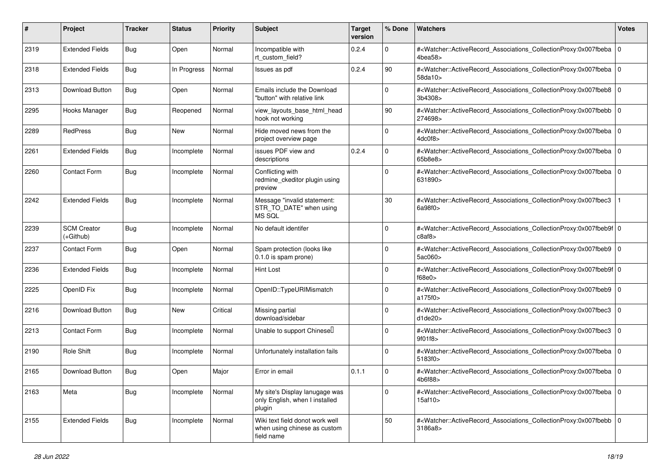| #    | Project                         | <b>Tracker</b> | <b>Status</b> | <b>Priority</b> | Subject                                                                       | <b>Target</b><br>version | % Done      | Watchers                                                                                                                                                 | <b>Votes</b> |
|------|---------------------------------|----------------|---------------|-----------------|-------------------------------------------------------------------------------|--------------------------|-------------|----------------------------------------------------------------------------------------------------------------------------------------------------------|--------------|
| 2319 | <b>Extended Fields</b>          | <b>Bug</b>     | Open          | Normal          | Incompatible with<br>rt_custom_field?                                         | 0.2.4                    | $\mathbf 0$ | # <watcher::activerecord associations="" collectionproxy:0x007fbeba<br="">4bea58</watcher::activerecord>                                                 | l O          |
| 2318 | <b>Extended Fields</b>          | <b>Bug</b>     | In Progress   | Normal          | Issues as pdf                                                                 | 0.2.4                    | 90          | # <watcher::activerecord_associations_collectionproxy:0x007fbeba 0<br=""  ="">58da10&gt;</watcher::activerecord_associations_collectionproxy:0x007fbeba> |              |
| 2313 | Download Button                 | <b>Bug</b>     | Open          | Normal          | Emails include the Download<br>"button" with relative link                    |                          | 0           | # <watcher::activerecord_associations_collectionproxy:0x007fbeb8 0<br="">3b4308&gt;</watcher::activerecord_associations_collectionproxy:0x007fbeb8>      |              |
| 2295 | Hooks Manager                   | Bug            | Reopened      | Normal          | view_layouts_base_html_head<br>hook not working                               |                          | 90          | # <watcher::activerecord_associations_collectionproxy:0x007fbebb<br>274698&gt;</watcher::activerecord_associations_collectionproxy:0x007fbebb<br>        | l O          |
| 2289 | RedPress                        | <b>Bug</b>     | New           | Normal          | Hide moved news from the<br>project overview page                             |                          | $\Omega$    | # <watcher::activerecord 0<br="" associations="" collectionproxy:0x007fbeba="">4dc0f8&gt;</watcher::activerecord>                                        |              |
| 2261 | <b>Extended Fields</b>          | <b>Bug</b>     | Incomplete    | Normal          | issues PDF view and<br>descriptions                                           | 0.2.4                    | $\Omega$    | # <watcher::activerecord_associations_collectionproxy:0x007fbeba<br>65b8e8&gt;</watcher::activerecord_associations_collectionproxy:0x007fbeba<br>        | l O          |
| 2260 | Contact Form                    | <b>Bug</b>     | Incomplete    | Normal          | Conflicting with<br>redmine_ckeditor plugin using<br>preview                  |                          | $\Omega$    | # <watcher::activerecord_associations_collectionproxy:0x007fbeba<br>631890&gt;</watcher::activerecord_associations_collectionproxy:0x007fbeba<br>        | l O          |
| 2242 | <b>Extended Fields</b>          | <b>Bug</b>     | Incomplete    | Normal          | Message "invalid statement:<br>STR_TO_DATE" when using<br>MS SQL              |                          | 30          | # <watcher::activerecord_associations_collectionproxy:0x007fbec3<br>6a98f0</watcher::activerecord_associations_collectionproxy:0x007fbec3<br>            |              |
| 2239 | <b>SCM Creator</b><br>(+Github) | <b>Bug</b>     | Incomplete    | Normal          | No default identifer                                                          |                          | $\Omega$    | # <watcher::activerecord_associations_collectionproxy:0x007fbeb9f 0<br="">c8af8&gt;</watcher::activerecord_associations_collectionproxy:0x007fbeb9f>     |              |
| 2237 | Contact Form                    | <b>Bug</b>     | Open          | Normal          | Spam protection (looks like<br>0.1.0 is spam prone)                           |                          | $\mathbf 0$ | # <watcher::activerecord_associations_collectionproxy:0x007fbeb9 0<br="">5ac060&gt;</watcher::activerecord_associations_collectionproxy:0x007fbeb9>      |              |
| 2236 | <b>Extended Fields</b>          | <b>Bug</b>     | Incomplete    | Normal          | Hint Lost                                                                     |                          | $\Omega$    | # <watcher::activerecord_associations_collectionproxy:0x007fbeb9f 0<br="">f68e0</watcher::activerecord_associations_collectionproxy:0x007fbeb9f>         |              |
| 2225 | OpenID Fix                      | <b>Bug</b>     | Incomplete    | Normal          | OpenID::TypeURIMismatch                                                       |                          | $\Omega$    | # <watcher::activerecord_associations_collectionproxy:0x007fbeb9 0<br="">a175f0&gt;</watcher::activerecord_associations_collectionproxy:0x007fbeb9>      |              |
| 2216 | Download Button                 | <b>Bug</b>     | New           | Critical        | Missing partial<br>download/sidebar                                           |                          | $\Omega$    | # <watcher::activerecord_associations_collectionproxy:0x007fbec3<br>d1de20</watcher::activerecord_associations_collectionproxy:0x007fbec3<br>            | 0            |
| 2213 | <b>Contact Form</b>             | <b>Bug</b>     | Incomplete    | Normal          | Unable to support Chinesel                                                    |                          | $\Omega$    | # <watcher::activerecord_associations_collectionproxy:0x007fbec3<br>9f01f8</watcher::activerecord_associations_collectionproxy:0x007fbec3<br>            | 0            |
| 2190 | Role Shift                      | <b>Bug</b>     | Incomplete    | Normal          | Unfortunately installation fails                                              |                          | $\Omega$    | # <watcher::activerecord_associations_collectionproxy:0x007fbeba 0<br="">5183f0&gt;</watcher::activerecord_associations_collectionproxy:0x007fbeba>      |              |
| 2165 | Download Button                 | Bug            | Open          | Major           | Error in email                                                                | 0.1.1                    | $\mathbf 0$ | # <watcher::activerecord_associations_collectionproxy:0x007fbeba 0<br=""  ="">4b6f88&gt;</watcher::activerecord_associations_collectionproxy:0x007fbeba> |              |
| 2163 | Meta                            | <b>Bug</b>     | Incomplete    | Normal          | My site's Display lanugage was<br>only English, when I installed<br>plugin    |                          | $\mathbf 0$ | # <watcher::activerecord_associations_collectionproxy:0x007fbeba 0<br=""  ="">15af10&gt;</watcher::activerecord_associations_collectionproxy:0x007fbeba> |              |
| 2155 | <b>Extended Fields</b>          | <b>Bug</b>     | Incomplete    | Normal          | Wiki text field donot work well<br>when using chinese as custom<br>field name |                          | 50          | # <watcher::activerecord_associations_collectionproxy:0x007fbebb 0<br="">3186a8&gt;</watcher::activerecord_associations_collectionproxy:0x007fbebb>      |              |